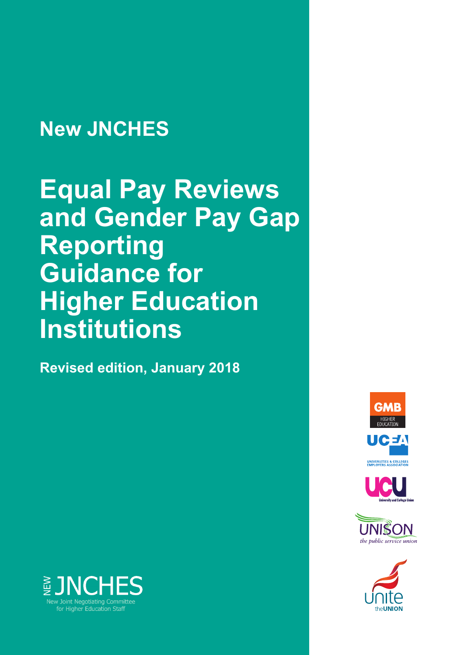## **New JNCHES**

# **Equal Pay Reviews and Gender Pay Gap Reporting Guidance for Higher Education Institutions**

**Revised edition, January 2018**









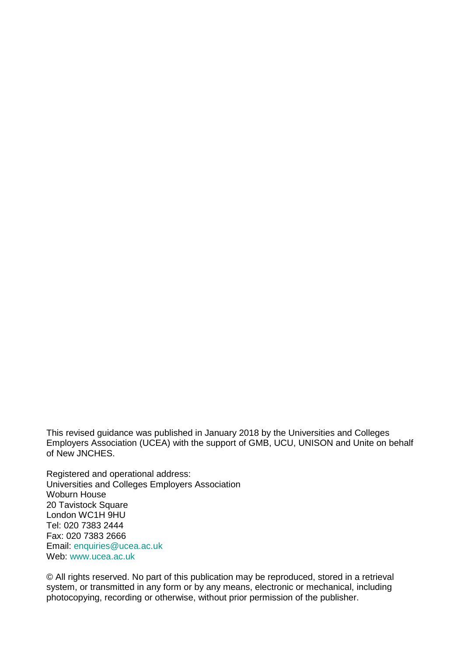This revised guidance was published in January 2018 by the Universities and Colleges Employers Association (UCEA) with the support of GMB, UCU, UNISON and Unite on behalf of New JNCHES.

Registered and operational address: Universities and Colleges Employers Association Woburn House 20 Tavistock Square London WC1H 9HU Tel: 020 7383 2444 Fax: 020 7383 2666 Email: [enquiries@ucea.ac.uk](mailto:enquiries@ucea.ac.uk) Web: [www.ucea.ac.uk](http://www.ucea.ac.uk/)

© All rights reserved. No part of this publication may be reproduced, stored in a retrieval system, or transmitted in any form or by any means, electronic or mechanical, including photocopying, recording or otherwise, without prior permission of the publisher.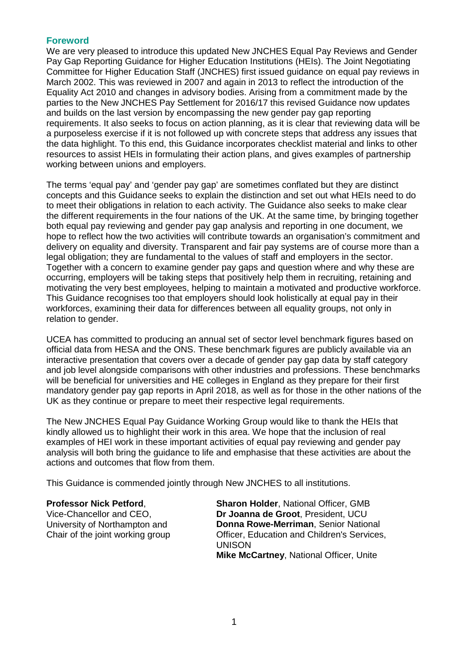#### **Foreword**

We are very pleased to introduce this updated New JNCHES Equal Pay Reviews and Gender Pay Gap Reporting Guidance for Higher Education Institutions (HEIs). The Joint Negotiating Committee for Higher Education Staff (JNCHES) first issued guidance on equal pay reviews in March 2002. This was reviewed in 2007 and again in 2013 to reflect the introduction of the Equality Act 2010 and changes in advisory bodies. Arising from a commitment made by the parties to the New JNCHES Pay Settlement for 2016/17 this revised Guidance now updates and builds on the last version by encompassing the new gender pay gap reporting requirements. It also seeks to focus on action planning, as it is clear that reviewing data will be a purposeless exercise if it is not followed up with concrete steps that address any issues that the data highlight. To this end, this Guidance incorporates checklist material and links to other resources to assist HEIs in formulating their action plans, and gives examples of partnership working between unions and employers.

The terms 'equal pay' and 'gender pay gap' are sometimes conflated but they are distinct concepts and this Guidance seeks to explain the distinction and set out what HEIs need to do to meet their obligations in relation to each activity. The Guidance also seeks to make clear the different requirements in the four nations of the UK. At the same time, by bringing together both equal pay reviewing and gender pay gap analysis and reporting in one document, we hope to reflect how the two activities will contribute towards an organisation's commitment and delivery on equality and diversity. Transparent and fair pay systems are of course more than a legal obligation; they are fundamental to the values of staff and employers in the sector. Together with a concern to examine gender pay gaps and question where and why these are occurring, employers will be taking steps that positively help them in recruiting, retaining and motivating the very best employees, helping to maintain a motivated and productive workforce. This Guidance recognises too that employers should look holistically at equal pay in their workforces, examining their data for differences between all equality groups, not only in relation to gender.

UCEA has committed to producing an annual set of sector level benchmark figures based on official data from HESA and the ONS. These benchmark figures are publicly available via an interactive presentation that covers over a decade of gender pay gap data by staff category and job level alongside comparisons with other industries and professions. These benchmarks will be beneficial for universities and HE colleges in England as they prepare for their first mandatory gender pay gap reports in April 2018, as well as for those in the other nations of the UK as they continue or prepare to meet their respective legal requirements.

The New JNCHES Equal Pay Guidance Working Group would like to thank the HEIs that kindly allowed us to highlight their work in this area. We hope that the inclusion of real examples of HEI work in these important activities of equal pay reviewing and gender pay analysis will both bring the guidance to life and emphasise that these activities are about the actions and outcomes that flow from them.

This Guidance is commended jointly through New JNCHES to all institutions.

**Professor Nick Petford**, Vice-Chancellor and CEO, University of Northampton and Chair of the joint working group **Sharon Holder**, National Officer, GMB **Dr Joanna de Groot**, President, UCU **Donna Rowe-Merriman**, Senior National Officer, Education and Children's Services, UNISON **Mike McCartney**, National Officer, Unite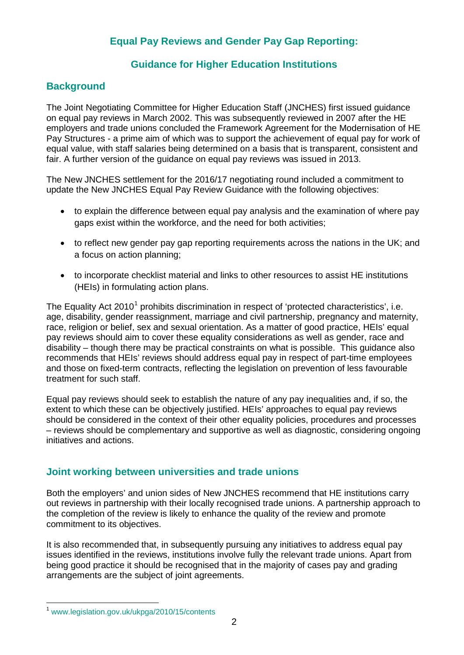## **Equal Pay Reviews and Gender Pay Gap Reporting:**

## **Guidance for Higher Education Institutions**

#### **Background**

The Joint Negotiating Committee for Higher Education Staff (JNCHES) first issued guidance on equal pay reviews in March 2002. This was subsequently reviewed in 2007 after the HE employers and trade unions concluded the Framework Agreement for the Modernisation of HE Pay Structures - a prime aim of which was to support the achievement of equal pay for work of equal value, with staff salaries being determined on a basis that is transparent, consistent and fair. A further version of the guidance on equal pay reviews was issued in 2013.

The New JNCHES settlement for the 2016/17 negotiating round included a commitment to update the New JNCHES Equal Pay Review Guidance with the following objectives:

- to explain the difference between equal pay analysis and the examination of where pay gaps exist within the workforce, and the need for both activities;
- to reflect new gender pay gap reporting requirements across the nations in the UK; and a focus on action planning;
- to incorporate checklist material and links to other resources to assist HE institutions (HEIs) in formulating action plans.

The Equality Act 20[1](#page-3-0)0<sup>1</sup> prohibits discrimination in respect of 'protected characteristics', i.e. age, disability, gender reassignment, marriage and civil partnership, pregnancy and maternity, race, religion or belief, sex and sexual orientation. As a matter of good practice, HEIs' equal pay reviews should aim to cover these equality considerations as well as gender, race and disability – though there may be practical constraints on what is possible. This guidance also recommends that HEIs' reviews should address equal pay in respect of part-time employees and those on fixed-term contracts, reflecting the legislation on prevention of less favourable treatment for such staff.

Equal pay reviews should seek to establish the nature of any pay inequalities and, if so, the extent to which these can be objectively justified. HEIs' approaches to equal pay reviews should be considered in the context of their other equality policies, procedures and processes – reviews should be complementary and supportive as well as diagnostic, considering ongoing initiatives and actions.

#### **Joint working between universities and trade unions**

Both the employers' and union sides of New JNCHES recommend that HE institutions carry out reviews in partnership with their locally recognised trade unions. A partnership approach to the completion of the review is likely to enhance the quality of the review and promote commitment to its objectives.

It is also recommended that, in subsequently pursuing any initiatives to address equal pay issues identified in the reviews, institutions involve fully the relevant trade unions. Apart from being good practice it should be recognised that in the majority of cases pay and grading arrangements are the subject of joint agreements.

<span id="page-3-0"></span> <sup>1</sup> [www.legislation.gov.uk/ukpga/2010/15/contents](http://www.legislation.gov.uk/ukpga/2010/15/contents)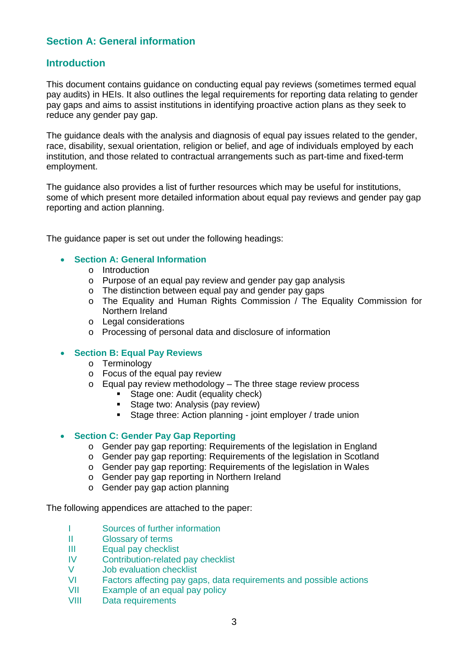## <span id="page-4-0"></span>**Section A: General information**

#### **Introduction**

This document contains guidance on conducting equal pay reviews (sometimes termed equal pay audits) in HEIs. It also outlines the legal requirements for reporting data relating to gender pay gaps and aims to assist institutions in identifying proactive action plans as they seek to reduce any gender pay gap.

The guidance deals with the analysis and diagnosis of equal pay issues related to the gender, race, disability, sexual orientation, religion or belief, and age of individuals employed by each institution, and those related to contractual arrangements such as part-time and fixed-term employment.

The guidance also provides a list of further resources which may be useful for institutions, some of which present more detailed information about equal pay reviews and gender pay gap reporting and action planning.

The guidance paper is set out under the following headings:

#### • **Section A: [General Information](#page-4-0)**

- o Introduction
- o Purpose of an equal pay review and gender pay gap analysis
- o The distinction between equal pay and gender pay gaps
- o The Equality and Human Rights Commission / The Equality Commission for Northern Ireland
- o Legal considerations
- o Processing of personal data and disclosure of information

#### • **[Section B: Equal Pay Reviews](#page-11-0)**

- o Terminology
- o Focus of the equal pay review
- o Equal pay review methodology The three stage review process
	- Stage one: Audit (equality check)
	- Stage two: Analysis (pay review)
	- Stage three: Action planning joint employer / trade union

#### • **[Section C: Gender Pay Gap Reporting](#page-19-0)**

- o Gender pay gap reporting: Requirements of the legislation in England
- o Gender pay gap reporting: Requirements of the legislation in Scotland
- o Gender pay gap reporting: Requirements of the legislation in Wales
- o Gender pay gap reporting in Northern Ireland
- o Gender pay gap action planning

The following appendices are attached to the paper:

- I [Sources of further information](#page-26-0)<br>II Glossary of terms
- **II** [Glossary of terms](#page-28-0)<br>III Faual pay checklis
- [Equal pay checklist](#page-34-0)
- IV [Contribution-related pay checklist](#page-38-0)
- V [Job evaluation checklist](#page-39-0)
- VI [Factors affecting pay gaps, data requirements and possible](#page-41-0) actions
- VII [Example of an equal pay policy](#page-43-0)
- VIII [Data requirements](#page-44-0)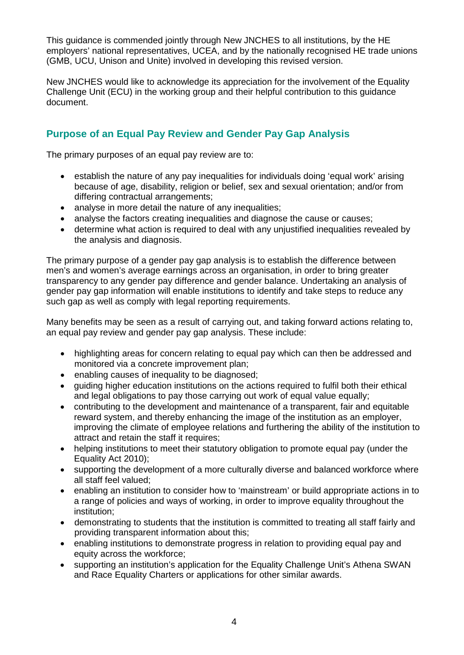This guidance is commended jointly through New JNCHES to all institutions, by the HE employers' national representatives, UCEA, and by the nationally recognised HE trade unions (GMB, UCU, Unison and Unite) involved in developing this revised version.

New JNCHES would like to acknowledge its appreciation for the involvement of the Equality Challenge Unit (ECU) in the working group and their helpful contribution to this guidance document.

## **Purpose of an Equal Pay Review and Gender Pay Gap Analysis**

The primary purposes of an equal pay review are to:

- establish the nature of any pay inequalities for individuals doing 'equal work' arising because of age, disability, religion or belief, sex and sexual orientation; and/or from differing contractual arrangements;
- analyse in more detail the nature of any inequalities;
- analyse the factors creating inequalities and diagnose the cause or causes;
- determine what action is required to deal with any unjustified inequalities revealed by the analysis and diagnosis.

The primary purpose of a gender pay gap analysis is to establish the difference between men's and women's average earnings across an organisation, in order to bring greater transparency to any gender pay difference and gender balance. Undertaking an analysis of gender pay gap information will enable institutions to identify and take steps to reduce any such gap as well as comply with legal reporting requirements.

Many benefits may be seen as a result of carrying out, and taking forward actions relating to, an equal pay review and gender pay gap analysis. These include:

- highlighting areas for concern relating to equal pay which can then be addressed and monitored via a concrete improvement plan;
- enabling causes of inequality to be diagnosed;
- quiding higher education institutions on the actions required to fulfil both their ethical and legal obligations to pay those carrying out work of equal value equally;
- contributing to the development and maintenance of a transparent, fair and equitable reward system, and thereby enhancing the image of the institution as an employer, improving the climate of employee relations and furthering the ability of the institution to attract and retain the staff it requires;
- helping institutions to meet their statutory obligation to promote equal pay (under the Equality Act 2010);
- supporting the development of a more culturally diverse and balanced workforce where all staff feel valued;
- enabling an institution to consider how to 'mainstream' or build appropriate actions in to a range of policies and ways of working, in order to improve equality throughout the institution;
- demonstrating to students that the institution is committed to treating all staff fairly and providing transparent information about this;
- enabling institutions to demonstrate progress in relation to providing equal pay and equity across the workforce;
- supporting an institution's application for the Equality Challenge Unit's Athena SWAN and Race Equality Charters or applications for other similar awards.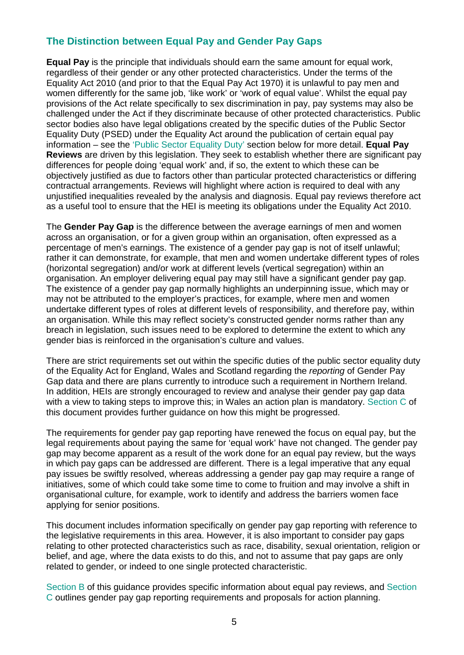## **The Distinction between Equal Pay and Gender Pay Gaps**

**Equal Pay** is the principle that individuals should earn the same amount for equal work, regardless of their gender or any other protected characteristics. Under the terms of the Equality Act 2010 (and prior to that the Equal Pay Act 1970) it is unlawful to pay men and women differently for the same job, 'like work' or 'work of equal value'. Whilst the equal pay provisions of the Act relate specifically to sex discrimination in pay, pay systems may also be challenged under the Act if they discriminate because of other protected characteristics. Public sector bodies also have legal obligations created by the specific duties of the Public Sector Equality Duty (PSED) under the Equality Act around the publication of certain equal pay information – see the ['Public Sector Equality Duty'](#page-7-0) section below for more detail. **Equal Pay Reviews** are driven by this legislation. They seek to establish whether there are significant pay differences for people doing 'equal work' and, if so, the extent to which these can be objectively justified as due to factors other than particular protected characteristics or differing contractual arrangements. Reviews will highlight where action is required to deal with any unjustified inequalities revealed by the analysis and diagnosis. Equal pay reviews therefore act as a useful tool to ensure that the HEI is meeting its obligations under the Equality Act 2010.

The **Gender Pay Gap** is the difference between the average earnings of men and women across an organisation, or for a given group within an organisation, often expressed as a percentage of men's earnings. The existence of a gender pay gap is not of itself unlawful; rather it can demonstrate, for example, that men and women undertake different types of roles (horizontal segregation) and/or work at different levels (vertical segregation) within an organisation. An employer delivering equal pay may still have a significant gender pay gap. The existence of a gender pay gap normally highlights an underpinning issue, which may or may not be attributed to the employer's practices, for example, where men and women undertake different types of roles at different levels of responsibility, and therefore pay, within an organisation. While this may reflect society's constructed gender norms rather than any breach in legislation, such issues need to be explored to determine the extent to which any gender bias is reinforced in the organisation's culture and values.

There are strict requirements set out within the specific duties of the public sector equality duty of the Equality Act for England, Wales and Scotland regarding the *reporting* of Gender Pay Gap data and there are plans currently to introduce such a requirement in Northern Ireland. In addition, HEIs are strongly encouraged to review and analyse their gender pay gap data with a view to taking steps to improve this; in Wales an action plan is mandatory. [Section C](#page-19-0) of this document provides further guidance on how this might be progressed.

The requirements for gender pay gap reporting have renewed the focus on equal pay, but the legal requirements about paying the same for 'equal work' have not changed. The gender pay gap may become apparent as a result of the work done for an equal pay review, but the ways in which pay gaps can be addressed are different. There is a legal imperative that any equal pay issues be swiftly resolved, whereas addressing a gender pay gap may require a range of initiatives, some of which could take some time to come to fruition and may involve a shift in organisational culture, for example, work to identify and address the barriers women face applying for senior positions.

This document includes information specifically on gender pay gap reporting with reference to the legislative requirements in this area. However, it is also important to consider pay gaps relating to other protected characteristics such as race, disability, sexual orientation, religion or belief, and age, where the data exists to do this, and not to assume that pay gaps are only related to gender, or indeed to one single protected characteristic.

[Section B](#page-11-0) of this guidance provides specific information about equal pay reviews, and [Section](#page-19-0)  [C](#page-19-0) outlines gender pay gap reporting requirements and proposals for action planning.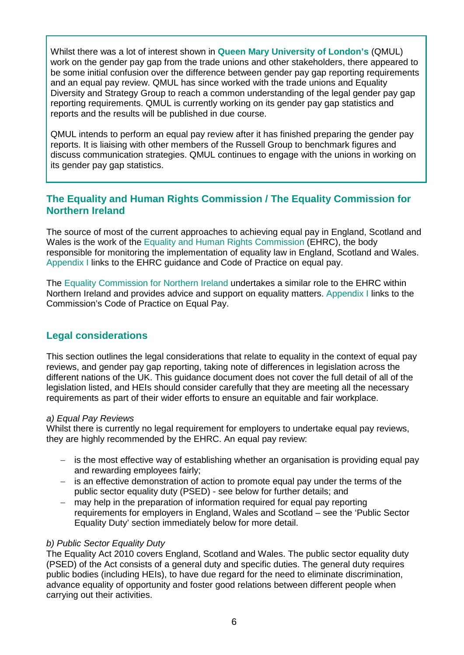Whilst there was a lot of interest shown in **Queen Mary University of London's** (QMUL) work on the gender pay gap from the trade unions and other stakeholders, there appeared to be some initial confusion over the difference between gender pay gap reporting requirements and an equal pay review. QMUL has since worked with the trade unions and Equality Diversity and Strategy Group to reach a common understanding of the legal gender pay gap reporting requirements. QMUL is currently working on its gender pay gap statistics and reports and the results will be published in due course.

QMUL intends to perform an equal pay review after it has finished preparing the gender pay reports. It is liaising with other members of the Russell Group to benchmark figures and discuss communication strategies. QMUL continues to engage with the unions in working on its gender pay gap statistics.

## **The Equality and Human Rights Commission / The Equality Commission for Northern Ireland**

The source of most of the current approaches to achieving equal pay in England, Scotland and Wales is the work of the [Equality and Human Rights Commission](https://www.equalityhumanrights.com/en) (EHRC), the body responsible for monitoring the implementation of equality law in England, Scotland and Wales. [Appendix I](#page-26-0) links to the EHRC guidance and Code of Practice on equal pay.

The [Equality Commission for Northern Ireland](http://www.equalityni.org/Home) undertakes a similar role to the EHRC within Northern Ireland and provides advice and support on equality matters. [Appendix I](#page-26-0) links to the Commission's Code of Practice on Equal Pay.

#### **Legal considerations**

This section outlines the legal considerations that relate to equality in the context of equal pay reviews, and gender pay gap reporting, taking note of differences in legislation across the different nations of the UK. This guidance document does not cover the full detail of all of the legislation listed, and HEIs should consider carefully that they are meeting all the necessary requirements as part of their wider efforts to ensure an equitable and fair workplace.

#### *a) Equal Pay Reviews*

Whilst there is currently no legal requirement for employers to undertake equal pay reviews, they are highly recommended by the EHRC. An equal pay review:

- − is the most effective way of establishing whether an organisation is providing equal pay and rewarding employees fairly;
- − is an effective demonstration of action to promote equal pay under the terms of the public sector equality duty (PSED) - see below for further details; and
- − may help in the preparation of information required for equal pay reporting requirements for employers in England, Wales and Scotland – see the 'Public Sector Equality Duty' section immediately below for more detail.

#### <span id="page-7-0"></span>*b) Public Sector Equality Duty*

The Equality Act 2010 covers England, Scotland and Wales. The public sector equality duty (PSED) of the Act consists of a general duty and specific duties. The general duty requires public bodies (including HEIs), to have due regard for the need to eliminate discrimination, advance equality of opportunity and foster good relations between different people when carrying out their activities.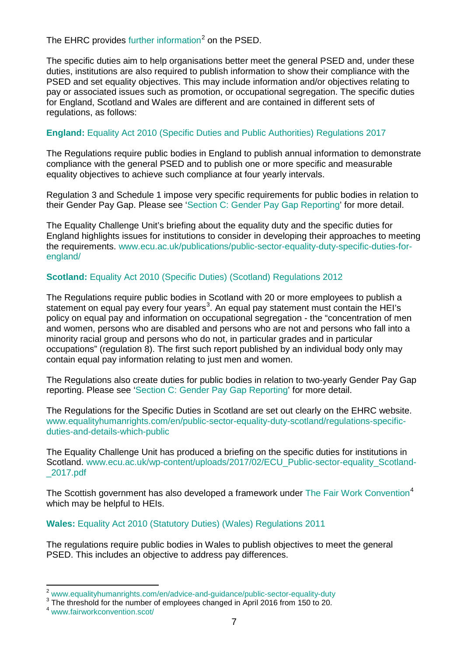The EHRC provides [further information](https://www.equalityhumanrights.com/en/advice-and-guidance/public-sector-equality-duty)<sup>[2](#page-8-0)</sup> on the PSED.

The specific duties aim to help organisations better meet the general PSED and, under these duties, institutions are also required to publish information to show their compliance with the PSED and set equality objectives. This may include information and/or objectives relating to pay or associated issues such as promotion, or occupational segregation. The specific duties for England, Scotland and Wales are different and are contained in different sets of regulations, as follows:

#### **England:** [Equality Act 2010 \(Specific Duties and Public Authorities\)](http://www.legislation.gov.uk/ukdsi/2017/9780111153277/contents) Regulations 2017

The Regulations require public bodies in England to publish annual information to demonstrate compliance with the general PSED and to publish one or more specific and measurable equality objectives to achieve such compliance at four yearly intervals.

Regulation 3 and Schedule 1 impose very specific requirements for public bodies in relation to their Gender Pay Gap. Please see ['Section C: Gender Pay Gap Reporting'](#page-19-0) for more detail.

The Equality Challenge Unit's briefing about the equality duty and the specific duties for England highlights issues for institutions to consider in developing their approaches to meeting the requirements. [www.ecu.ac.uk/publications/public-sector-equality-duty-specific-duties-for](http://www.ecu.ac.uk/publications/public-sector-equality-duty-specific-duties-for-england/)[england/](http://www.ecu.ac.uk/publications/public-sector-equality-duty-specific-duties-for-england/)

#### **Scotland:** [Equality Act 2010 \(Specific Duties\) \(Scotland\) Regulations 2012](http://www.legislation.gov.uk/sdsi/2012/9780111016718/contents)

The Regulations require public bodies in Scotland with 20 or more employees to publish a statement on equal pay every four years<sup>[3](#page-8-1)</sup>. An equal pay statement must contain the HEI's policy on equal pay and information on occupational segregation - the "concentration of men and women, persons who are disabled and persons who are not and persons who fall into a minority racial group and persons who do not, in particular grades and in particular occupations" (regulation 8). The first such report published by an individual body only may contain equal pay information relating to just men and women.

The Regulations also create duties for public bodies in relation to two-yearly Gender Pay Gap reporting. Please see ['Section C: Gender Pay Gap Reporting'](#page-19-0) for more detail.

The Regulations for the Specific Duties in Scotland are set out clearly on the EHRC website. [www.equalityhumanrights.com/en/public-sector-equality-duty-scotland/regulations-specific](http://www.equalityhumanrights.com/en/public-sector-equality-duty-scotland/regulations-specific-duties-and-details-which-public)[duties-and-details-which-public](http://www.equalityhumanrights.com/en/public-sector-equality-duty-scotland/regulations-specific-duties-and-details-which-public) 

The Equality Challenge Unit has produced a briefing on the specific duties for institutions in Scotland. [www.ecu.ac.uk/wp-content/uploads/2017/02/ECU\\_Public-sector-equality\\_Scotland-](http://www.ecu.ac.uk/wp-content/uploads/2017/02/ECU_Public-sector-equality_Scotland-_2017.pdf) [\\_2017.pdf](http://www.ecu.ac.uk/wp-content/uploads/2017/02/ECU_Public-sector-equality_Scotland-_2017.pdf)

The Scottish government has also developed a framework under [The Fair Work Convention](http://www.fairworkconvention.scot/)<sup>[4](#page-8-2)</sup> which may be helpful to HEIs.

#### **Wales:** [Equality Act 2010 \(Statutory Duties\) \(Wales\) Regulations 2011](http://www.legislation.gov.uk/wsi/2011/1064/contents/made)

The regulations require public bodies in Wales to publish objectives to meet the general PSED. This includes an objective to address pay differences.

<span id="page-8-0"></span> $^2$  [www.equalityhumanrights.com/en/advice-and-guidance/public-sector-equality-duty](https://www.equalityhumanrights.com/en/advice-and-guidance/public-sector-equality-duty)  $^3$  The threshold for the number of employees changed in April 2016 from 150 to 20.

<span id="page-8-2"></span><span id="page-8-1"></span><sup>4</sup> [www.fairworkconvention.scot/](http://www.fairworkconvention.scot/)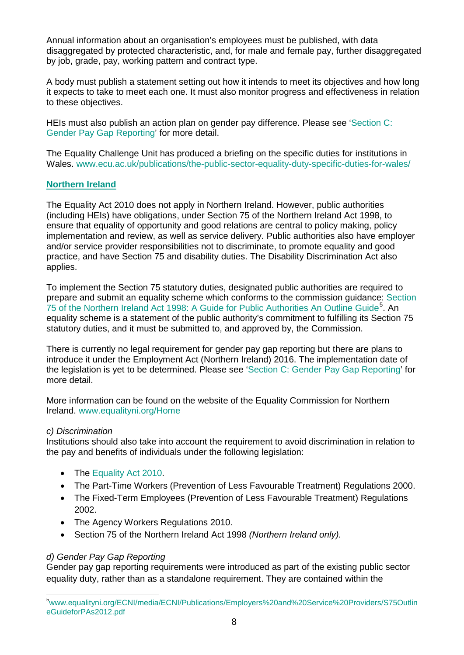Annual information about an organisation's employees must be published, with data disaggregated by protected characteristic, and, for male and female pay, further disaggregated by job, grade, pay, working pattern and contract type.

A body must publish a statement setting out how it intends to meet its objectives and how long it expects to take to meet each one. It must also monitor progress and effectiveness in relation to these objectives.

HEIs must also publish an action plan on gender pay difference. Please see ['Section C:](#page-19-0)  [Gender Pay Gap Reporting'](#page-19-0) for more detail.

The Equality Challenge Unit has produced a briefing on the specific duties for institutions in Wales. [www.ecu.ac.uk/publications/the-public-sector-equality-duty-specific-duties-for-wales/](http://www.ecu.ac.uk/publications/the-public-sector-equality-duty-specific-duties-for-wales/)

#### **Northern Ireland**

The Equality Act 2010 does not apply in Northern Ireland. However, public authorities (including HEIs) have obligations, under Section 75 of the Northern Ireland Act 1998, to ensure that equality of opportunity and good relations are central to policy making, policy implementation and review, as well as service delivery. Public authorities also have employer and/or service provider responsibilities not to discriminate, to promote equality and good practice, and have Section 75 and disability duties. The Disability Discrimination Act also applies.

To implement the Section 75 statutory duties, designated public authorities are required to prepare and submit an equality scheme which conforms to the commission guidance: [Section](http://www.equalityni.org/ECNI/media/ECNI/Publications/Employers%20and%20Service%20Providers/S75OutlineGuideforPAs2012.pdf)  [75 of the Northern Ireland Act 1998: A Guide for Public Authorities An Outline Guide](http://www.equalityni.org/ECNI/media/ECNI/Publications/Employers%20and%20Service%20Providers/S75OutlineGuideforPAs2012.pdf)<sup>[5](#page-9-0)</sup>. An equality scheme is a statement of the public authority's commitment to fulfilling its Section 75 statutory duties, and it must be submitted to, and approved by, the Commission.

There is currently no legal requirement for gender pay gap reporting but there are plans to introduce it under the Employment Act (Northern Ireland) 2016. The implementation date of the legislation is yet to be determined. Please see ['Section C: Gender Pay Gap Reporting'](#page-19-0) for more detail.

More information can be found on the website of the Equality Commission for Northern Ireland. [www.equalityni.org/Home](http://www.equalityni.org/Home)

#### *c) Discrimination*

Institutions should also take into account the requirement to avoid discrimination in relation to the pay and benefits of individuals under the following legislation:

- The [Equality Act 2010.](http://www.legislation.gov.uk/ukpga/2010/15/contents)
- The Part-Time Workers (Prevention of Less Favourable Treatment) Regulations 2000.
- The Fixed-Term Employees (Prevention of Less Favourable Treatment) Regulations 2002.
- The Agency Workers Regulations 2010.
- Section 75 of the Northern Ireland Act 1998 *(Northern Ireland only).*

#### *d) Gender Pay Gap Reporting*

Gender pay gap reporting requirements were introduced as part of the existing public sector equality duty, rather than as a standalone requirement. They are contained within the

<span id="page-9-0"></span> <sup>5</sup> [www.equalityni.org/ECNI/media/ECNI/Publications/Employers%20and%20Service%20Providers/S75Outlin](http://www.equalityni.org/ECNI/media/ECNI/Publications/Employers%20and%20Service%20Providers/S75OutlineGuideforPAs2012.pdf) [eGuideforPAs2012.pdf](http://www.equalityni.org/ECNI/media/ECNI/Publications/Employers%20and%20Service%20Providers/S75OutlineGuideforPAs2012.pdf)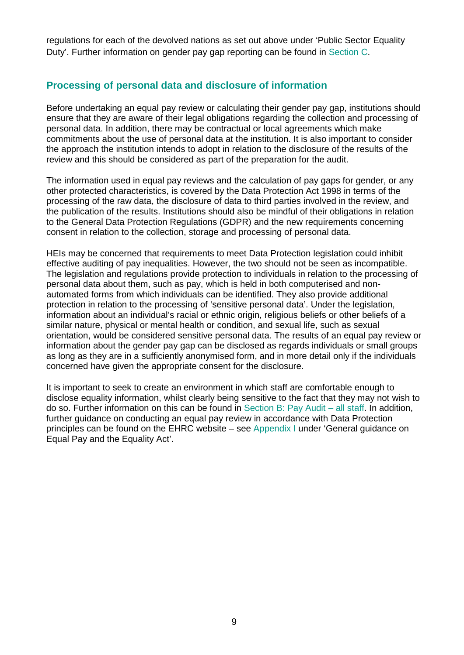regulations for each of the devolved nations as set out above under 'Public Sector Equality Duty'. Further information on gender pay gap reporting can be found in [Section C.](#page-19-0)

## **Processing of personal data and disclosure of information**

Before undertaking an equal pay review or calculating their gender pay gap, institutions should ensure that they are aware of their legal obligations regarding the collection and processing of personal data. In addition, there may be contractual or local agreements which make commitments about the use of personal data at the institution. It is also important to consider the approach the institution intends to adopt in relation to the disclosure of the results of the review and this should be considered as part of the preparation for the audit.

The information used in equal pay reviews and the calculation of pay gaps for gender, or any other protected characteristics, is covered by the Data Protection Act 1998 in terms of the processing of the raw data, the disclosure of data to third parties involved in the review, and the publication of the results. Institutions should also be mindful of their obligations in relation to the General Data Protection Regulations (GDPR) and the new requirements concerning consent in relation to the collection, storage and processing of personal data.

HEIs may be concerned that requirements to meet Data Protection legislation could inhibit effective auditing of pay inequalities. However, the two should not be seen as incompatible. The legislation and regulations provide protection to individuals in relation to the processing of personal data about them, such as pay, which is held in both computerised and nonautomated forms from which individuals can be identified. They also provide additional protection in relation to the processing of 'sensitive personal data'. Under the legislation, information about an individual's racial or ethnic origin, religious beliefs or other beliefs of a similar nature, physical or mental health or condition, and sexual life, such as sexual orientation, would be considered sensitive personal data. The results of an equal pay review or information about the gender pay gap can be disclosed as regards individuals or small groups as long as they are in a sufficiently anonymised form, and in more detail only if the individuals concerned have given the appropriate consent for the disclosure.

It is important to seek to create an environment in which staff are comfortable enough to disclose equality information, whilst clearly being sensitive to the fact that they may not wish to do so. Further information on this can be found in [Section B: Pay Audit –](#page-14-0) all staff. In addition, further guidance on conducting an equal pay review in accordance with Data Protection principles can be found on the EHRC website – see [Appendix I](#page-26-0) under 'General guidance on Equal Pay and the Equality Act'.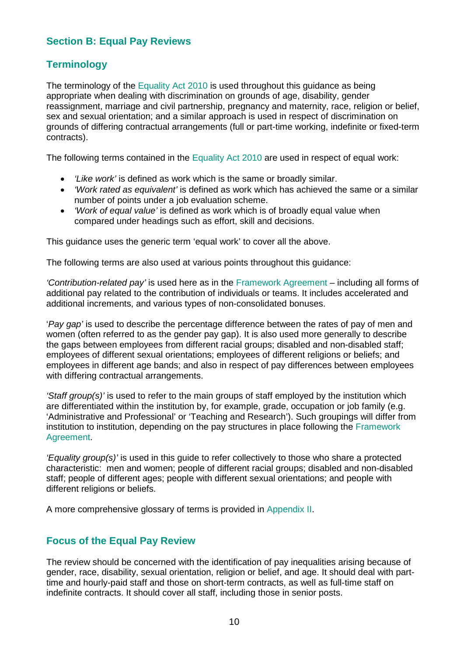## <span id="page-11-0"></span>**Section B: Equal Pay Reviews**

## **Terminology**

The terminology of the [Equality Act 2010](http://www.legislation.gov.uk/ukdsi/2017/9780111153277/contents) is used throughout this guidance as being appropriate when dealing with discrimination on grounds of age, disability, gender reassignment, marriage and civil partnership, pregnancy and maternity, race, religion or belief, sex and sexual orientation; and a similar approach is used in respect of discrimination on grounds of differing contractual arrangements (full or part-time working, indefinite or fixed-term contracts).

The following terms contained in the [Equality Act 2010](http://www.legislation.gov.uk/ukdsi/2017/9780111153277/contents) are used in respect of equal work:

- *'Like work'* is defined as work which is the same or broadly similar.
- *'Work rated as equivalent'* is defined as work which has achieved the same or a similar number of points under a job evaluation scheme.
- *'Work of equal value'* is defined as work which is of broadly equal value when compared under headings such as effort, skill and decisions.

This guidance uses the generic term 'equal work' to cover all the above.

The following terms are also used at various points throughout this guidance:

*'Contribution-related pay'* is used here as in the [Framework Agreement](http://www.ucea.ac.uk/en/empres/paynegs/fagree/index.cfm) – including all forms of additional pay related to the contribution of individuals or teams. It includes accelerated and additional increments, and various types of non-consolidated bonuses.

'*Pay gap'* is used to describe the percentage difference between the rates of pay of men and women (often referred to as the gender pay gap). It is also used more generally to describe the gaps between employees from different racial groups; disabled and non-disabled staff; employees of different sexual orientations; employees of different religions or beliefs; and employees in different age bands; and also in respect of pay differences between employees with differing contractual arrangements.

*'Staff group(s)'* is used to refer to the main groups of staff employed by the institution which are differentiated within the institution by, for example, grade, occupation or job family (e.g. 'Administrative and Professional' or 'Teaching and Research'). Such groupings will differ from institution to institution, depending on the pay structures in place following the [Framework](http://www.ucea.ac.uk/en/empres/paynegs/fagree/index.cfm)  [Agreement.](http://www.ucea.ac.uk/en/empres/paynegs/fagree/index.cfm)

*'Equality group(s)'* is used in this guide to refer collectively to those who share a protected characteristic: men and women; people of different racial groups; disabled and non-disabled staff; people of different ages; people with different sexual orientations; and people with different religions or beliefs.

A more comprehensive glossary of terms is provided in [Appendix II.](#page-28-0)

#### **Focus of the Equal Pay Review**

The review should be concerned with the identification of pay inequalities arising because of gender, race, disability, sexual orientation, religion or belief, and age. It should deal with parttime and hourly-paid staff and those on short-term contracts, as well as full-time staff on indefinite contracts. It should cover all staff, including those in senior posts.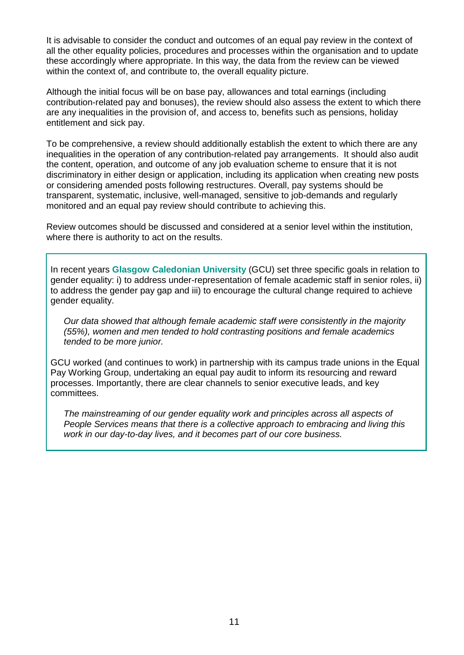It is advisable to consider the conduct and outcomes of an equal pay review in the context of all the other equality policies, procedures and processes within the organisation and to update these accordingly where appropriate. In this way, the data from the review can be viewed within the context of, and contribute to, the overall equality picture.

Although the initial focus will be on base pay, allowances and total earnings (including contribution-related pay and bonuses), the review should also assess the extent to which there are any inequalities in the provision of, and access to, benefits such as pensions, holiday entitlement and sick pay.

To be comprehensive, a review should additionally establish the extent to which there are any inequalities in the operation of any contribution-related pay arrangements. It should also audit the content, operation, and outcome of any job evaluation scheme to ensure that it is not discriminatory in either design or application, including its application when creating new posts or considering amended posts following restructures. Overall, pay systems should be transparent, systematic, inclusive, well-managed, sensitive to job-demands and regularly monitored and an equal pay review should contribute to achieving this.

Review outcomes should be discussed and considered at a senior level within the institution, where there is authority to act on the results.

In recent years **Glasgow Caledonian University** (GCU) set three specific goals in relation to gender equality: i) to address under-representation of female academic staff in senior roles, ii) to address the gender pay gap and iii) to encourage the cultural change required to achieve gender equality.

*Our data showed that although female academic staff were consistently in the majority (55%), women and men tended to hold contrasting positions and female academics tended to be more junior.*

GCU worked (and continues to work) in partnership with its campus trade unions in the Equal Pay Working Group, undertaking an equal pay audit to inform its resourcing and reward processes. Importantly, there are clear channels to senior executive leads, and key committees.

*The mainstreaming of our gender equality work and principles across all aspects of People Services means that there is a collective approach to embracing and living this work in our day-to-day lives, and it becomes part of our core business.*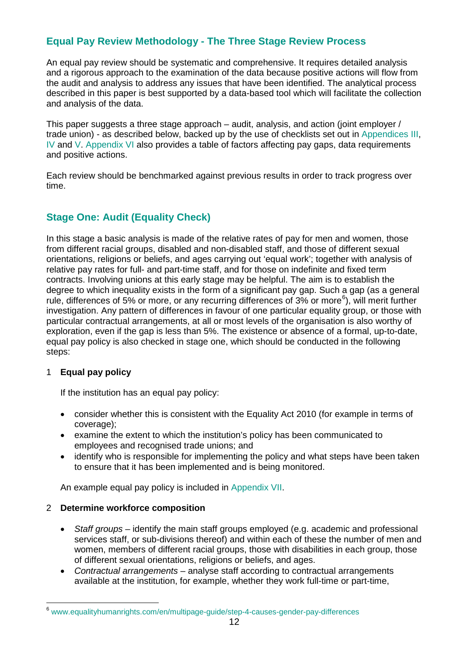## **Equal Pay Review Methodology - The Three Stage Review Process**

An equal pay review should be systematic and comprehensive. It requires detailed analysis and a rigorous approach to the examination of the data because positive actions will flow from the audit and analysis to address any issues that have been identified. The analytical process described in this paper is best supported by a data-based tool which will facilitate the collection and analysis of the data.

This paper suggests a three stage approach – audit, analysis, and action (joint employer / trade union) - as described below, backed up by the use of checklists set out in [Appendices III,](#page-34-0) [IV](#page-38-0) and [V.](#page-39-0) [Appendix VI](#page-41-0) also provides a table of factors affecting pay gaps, data requirements and positive actions.

Each review should be benchmarked against previous results in order to track progress over time.

## <span id="page-13-1"></span>**Stage One: Audit (Equality Check)**

In this stage a basic analysis is made of the relative rates of pay for men and women, those from different racial groups, disabled and non-disabled staff, and those of different sexual orientations, religions or beliefs, and ages carrying out 'equal work'; together with analysis of relative pay rates for full- and part-time staff, and for those on indefinite and fixed term contracts. Involving unions at this early stage may be helpful. The aim is to establish the degree to which inequality exists in the form of a significant pay gap. Such a gap (as a general rule, differences of 5% or more, or any recurring differences of 3% or more<sup>[6](#page-13-0)</sup>), will merit further investigation. Any pattern of differences in favour of one particular equality group, or those with particular contractual arrangements, at all or most levels of the organisation is also worthy of exploration, even if the gap is less than 5%. The existence or absence of a formal, up-to-date, equal pay policy is also checked in stage one, which should be conducted in the following steps:

#### 1 **Equal pay policy**

If the institution has an equal pay policy:

- consider whether this is consistent with the Equality Act 2010 (for example in terms of coverage);
- examine the extent to which the institution's policy has been communicated to employees and recognised trade unions; and
- identify who is responsible for implementing the policy and what steps have been taken to ensure that it has been implemented and is being monitored.

An example equal pay policy is included in [Appendix VII.](#page-43-0)

#### 2 **Determine workforce composition**

- *Staff groups* identify the main staff groups employed (e.g. academic and professional services staff, or sub-divisions thereof) and within each of these the number of men and women, members of different racial groups, those with disabilities in each group, those of different sexual orientations, religions or beliefs, and ages.
- *Contractual arrangements*  analyse staff according to contractual arrangements available at the institution, for example, whether they work full-time or part-time,

<span id="page-13-0"></span> <sup>6</sup> www.equalityhumanrights.com/en/multipage-guide/step-4-causes-gender-pay-differences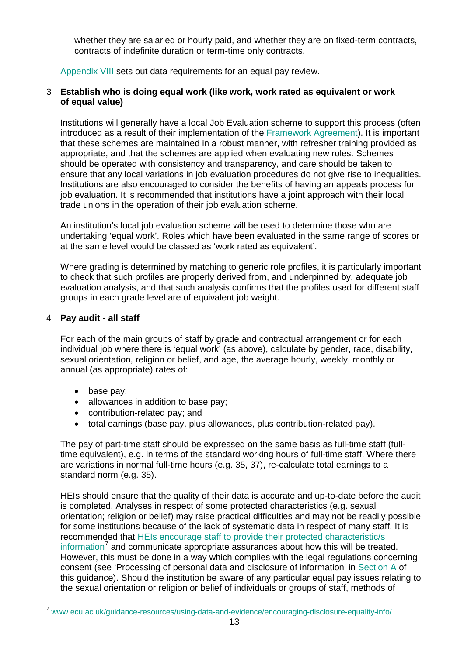whether they are salaried or hourly paid, and whether they are on fixed-term contracts, contracts of indefinite duration or term-time only contracts.

[Appendix VIII](#page-44-0) sets out data requirements for an equal pay review.

#### 3 **Establish who is doing equal work (like work, work rated as equivalent or work of equal value)**

Institutions will generally have a local Job Evaluation scheme to support this process (often introduced as a result of their implementation of the [Framework Agreement\)](http://www.ucea.ac.uk/en/empres/paynegs/fagree/index.cfm). It is important that these schemes are maintained in a robust manner, with refresher training provided as appropriate, and that the schemes are applied when evaluating new roles. Schemes should be operated with consistency and transparency, and care should be taken to ensure that any local variations in job evaluation procedures do not give rise to inequalities. Institutions are also encouraged to consider the benefits of having an appeals process for job evaluation. It is recommended that institutions have a joint approach with their local trade unions in the operation of their job evaluation scheme.

An institution's local job evaluation scheme will be used to determine those who are undertaking 'equal work'. Roles which have been evaluated in the same range of scores or at the same level would be classed as 'work rated as equivalent'.

Where grading is determined by matching to generic role profiles, it is particularly important to check that such profiles are properly derived from, and underpinned by, adequate job evaluation analysis, and that such analysis confirms that the profiles used for different staff groups in each grade level are of equivalent job weight.

#### <span id="page-14-0"></span>4 **Pay audit - all staff**

For each of the main groups of staff by grade and contractual arrangement or for each individual job where there is 'equal work' (as above), calculate by gender, race, disability, sexual orientation, religion or belief, and age, the average hourly, weekly, monthly or annual (as appropriate) rates of:

- base pay:
- allowances in addition to base pay;
- contribution-related pay; and
- total earnings (base pay, plus allowances, plus contribution-related pay).

The pay of part-time staff should be expressed on the same basis as full-time staff (fulltime equivalent), e.g. in terms of the standard working hours of full-time staff. Where there are variations in normal full-time hours (e.g. 35, 37), re-calculate total earnings to a standard norm (e.g. 35).

HEIs should ensure that the quality of their data is accurate and up-to-date before the audit is completed. Analyses in respect of some protected characteristics (e.g. sexual orientation; religion or belief) may raise practical difficulties and may not be readily possible for some institutions because of the lack of systematic data in respect of many staff. It is recommended that [HEIs encourage staff to provide their protected characteristic/s](http://www.ecu.ac.uk/guidance-resources/using-data-and-evidence/encouraging-disclosure-equality-info/) [information](http://www.ecu.ac.uk/guidance-resources/using-data-and-evidence/encouraging-disclosure-equality-info/)<sup>[7](#page-14-1)</sup> and communicate appropriate assurances about how this will be treated. However, this must be done in a way which complies with the legal regulations concerning consent (see 'Processing of personal data and disclosure of information' in [Section A](#page-4-0) of this guidance). Should the institution be aware of any particular equal pay issues relating to the sexual orientation or religion or belief of individuals or groups of staff, methods of

<span id="page-14-1"></span> <sup>7</sup> [www.ecu.ac.uk/guidance-resources/using-data-and-evidence/encouraging-disclosure-equality-info/](http://www.ecu.ac.uk/guidance-resources/using-data-and-evidence/encouraging-disclosure-equality-info/)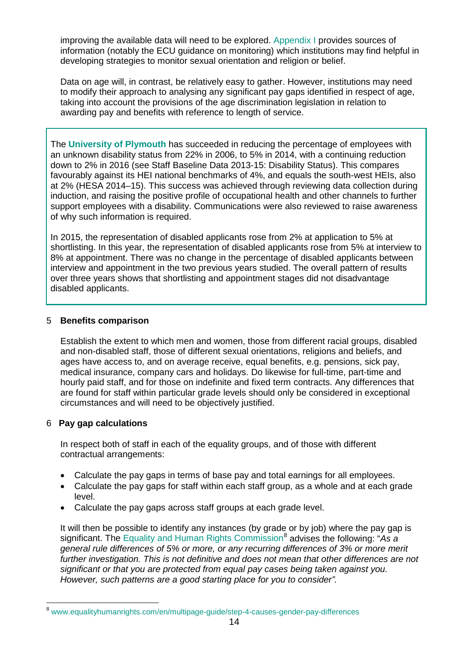improving the available data will need to be explored. [Appendix I](#page-26-0) provides sources of information (notably the ECU guidance on monitoring) which institutions may find helpful in developing strategies to monitor sexual orientation and religion or belief.

Data on age will, in contrast, be relatively easy to gather. However, institutions may need to modify their approach to analysing any significant pay gaps identified in respect of age, taking into account the provisions of the age discrimination legislation in relation to awarding pay and benefits with reference to length of service.

The **University of Plymouth** has succeeded in reducing the percentage of employees with an unknown disability status from 22% in 2006, to 5% in 2014, with a continuing reduction down to 2% in 2016 (see Staff Baseline Data 2013-15: Disability Status). This compares favourably against its HEI national benchmarks of 4%, and equals the south-west HEIs, also at 2% (HESA 2014–15). This success was achieved through reviewing data collection during induction, and raising the positive profile of occupational health and other channels to further support employees with a disability. Communications were also reviewed to raise awareness of why such information is required.

In 2015, the representation of disabled applicants rose from 2% at application to 5% at shortlisting. In this year, the representation of disabled applicants rose from 5% at interview to 8% at appointment. There was no change in the percentage of disabled applicants between interview and appointment in the two previous years studied. The overall pattern of results over three years shows that shortlisting and appointment stages did not disadvantage disabled applicants.

#### 5 **Benefits comparison**

Establish the extent to which men and women, those from different racial groups, disabled and non-disabled staff, those of different sexual orientations, religions and beliefs, and ages have access to, and on average receive, equal benefits, e.g. pensions, sick pay, medical insurance, company cars and holidays. Do likewise for full-time, part-time and hourly paid staff, and for those on indefinite and fixed term contracts. Any differences that are found for staff within particular grade levels should only be considered in exceptional circumstances and will need to be objectively justified.

#### 6 **Pay gap calculations**

In respect both of staff in each of the equality groups, and of those with different contractual arrangements:

- Calculate the pay gaps in terms of base pay and total earnings for all employees.
- Calculate the pay gaps for staff within each staff group, as a whole and at each grade level.
- Calculate the pay gaps across staff groups at each grade level.

It will then be possible to identify any instances (by grade or by job) where the pay gap is significant. The [Equality and Human Rights Commission](https://www.equalityhumanrights.com/en/multipage-guide/step-4-causes-gender-pay-differences)<sup>[8](#page-15-0)</sup> advises the following: "As a *general rule differences of 5% or more, or any recurring differences of 3% or more merit further investigation. This is not definitive and does not mean that other differences are not significant or that you are protected from equal pay cases being taken against you. However, such patterns are a good starting place for you to consider".* 

<span id="page-15-0"></span> <sup>8</sup> [www.equalityhumanrights.com/en/multipage-guide/step-4-causes-gender-pay-differences](http://www.equalityhumanrights.com/en/multipage-guide/step-4-causes-gender-pay-differences)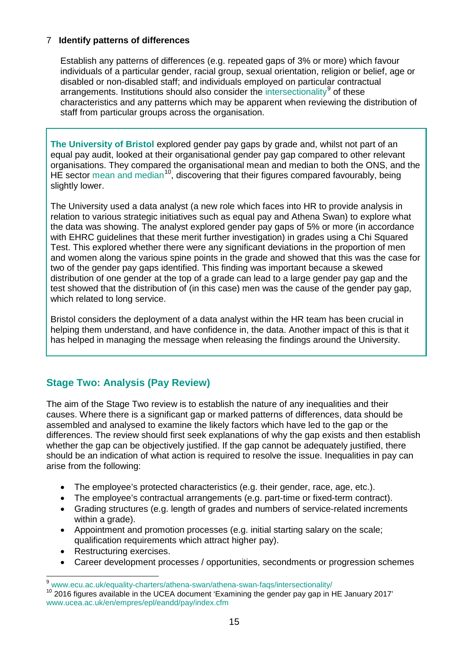#### 7 **Identify patterns of differences**

Establish any patterns of differences (e.g. repeated gaps of 3% or more) which favour individuals of a particular gender, racial group, sexual orientation, religion or belief, age or disabled or non-disabled staff; and individuals employed on particular contractual arrangements. Institutions should also consider the [intersectionality](http://www.ecu.ac.uk/equality-charters/athena-swan/athena-swan-faqs/intersectionality/)<sup>[9](#page-16-0)</sup> of these characteristics and any patterns which may be apparent when reviewing the distribution of staff from particular groups across the organisation.

**The University of Bristol** explored gender pay gaps by grade and, whilst not part of an equal pay audit, looked at their organisational gender pay gap compared to other relevant organisations. They compared the organisational mean and median to both the ONS, and the HE sector mean and median<sup>10</sup>, discovering that their figures compared favourably, being slightly lower.

The University used a data analyst (a new role which faces into HR to provide analysis in relation to various strategic initiatives such as equal pay and Athena Swan) to explore what the data was showing. The analyst explored gender pay gaps of 5% or more (in accordance with EHRC guidelines that these merit further investigation) in grades using a Chi Squared Test. This explored whether there were any significant deviations in the proportion of men and women along the various spine points in the grade and showed that this was the case for two of the gender pay gaps identified. This finding was important because a skewed distribution of one gender at the top of a grade can lead to a large gender pay gap and the test showed that the distribution of (in this case) men was the cause of the gender pay gap, which related to long service.

Bristol considers the deployment of a data analyst within the HR team has been crucial in helping them understand, and have confidence in, the data. Another impact of this is that it has helped in managing the message when releasing the findings around the University.

## **Stage Two: Analysis (Pay Review)**

The aim of the Stage Two review is to establish the nature of any inequalities and their causes. Where there is a significant gap or marked patterns of differences, data should be assembled and analysed to examine the likely factors which have led to the gap or the differences. The review should first seek explanations of why the gap exists and then establish whether the gap can be objectively justified. If the gap cannot be adequately justified, there should be an indication of what action is required to resolve the issue. Inequalities in pay can arise from the following:

- The employee's protected characteristics (e.g. their gender, race, age, etc.).
- The employee's contractual arrangements (e.g. part-time or fixed-term contract).
- Grading structures (e.g. length of grades and numbers of service-related increments within a grade).
- Appointment and promotion processes (e.g. initial starting salary on the scale; qualification requirements which attract higher pay).
- Restructuring exercises.
- Career development processes / opportunities, secondments or progression schemes

<span id="page-16-1"></span><span id="page-16-0"></span><sup>&</sup>lt;sup>9</sup> [www.ecu.ac.uk/equality-charters/athena-swan/athena-swan-faqs/intersectionality/](http://www.ecu.ac.uk/equality-charters/athena-swan/athena-swan-faqs/intersectionality/)<br><sup>10</sup> 2016 figures available in the UCEA document 'Examining the gender pay gap in HE January 2017' [www.ucea.ac.uk/en/empres/epl/eandd/pay/index.cfm](http://www.ucea.ac.uk/en/empres/epl/eandd/pay/index.cfm)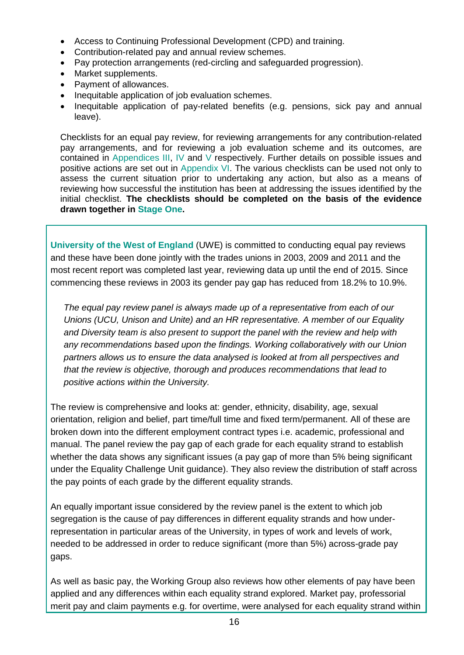- Access to Continuing Professional Development (CPD) and training.
- Contribution-related pay and annual review schemes.
- Pay protection arrangements (red-circling and safeguarded progression).
- Market supplements.
- Payment of allowances.
- Inequitable application of job evaluation schemes.
- Inequitable application of pay-related benefits (e.g. pensions, sick pay and annual leave).

Checklists for an equal pay review, for reviewing arrangements for any contribution-related pay arrangements, and for reviewing a job evaluation scheme and its outcomes, are contained in [Appendices III,](#page-34-0) [IV](#page-38-0) and [V](#page-39-0) respectively. Further details on possible issues and positive actions are set out in [Appendix VI.](#page-41-0) The various checklists can be used not only to assess the current situation prior to undertaking any action, but also as a means of reviewing how successful the institution has been at addressing the issues identified by the initial checklist. **The checklists should be completed on the basis of the evidence drawn together in [Stage One.](#page-13-1)**

**University of the West of England** (UWE) is committed to conducting equal pay reviews and these have been done jointly with the trades unions in 2003, 2009 and 2011 and the most recent report was completed last year, reviewing data up until the end of 2015. Since commencing these reviews in 2003 its gender pay gap has reduced from 18.2% to 10.9%.

*The equal pay review panel is always made up of a representative from each of our Unions (UCU, Unison and Unite) and an HR representative. A member of our Equality and Diversity team is also present to support the panel with the review and help with any recommendations based upon the findings. Working collaboratively with our Union partners allows us to ensure the data analysed is looked at from all perspectives and that the review is objective, thorough and produces recommendations that lead to positive actions within the University.* 

The review is comprehensive and looks at: gender, ethnicity, disability, age, sexual orientation, religion and belief, part time/full time and fixed term/permanent. All of these are broken down into the different employment contract types i.e. academic, professional and manual. The panel review the pay gap of each grade for each equality strand to establish whether the data shows any significant issues (a pay gap of more than 5% being significant under the Equality Challenge Unit guidance). They also review the distribution of staff across the pay points of each grade by the different equality strands.

An equally important issue considered by the review panel is the extent to which job segregation is the cause of pay differences in different equality strands and how underrepresentation in particular areas of the University, in types of work and levels of work, needed to be addressed in order to reduce significant (more than 5%) across-grade pay gaps.

As well as basic pay, the Working Group also reviews how other elements of pay have been applied and any differences within each equality strand explored. Market pay, professorial merit pay and claim payments e.g. for overtime, were analysed for each equality strand within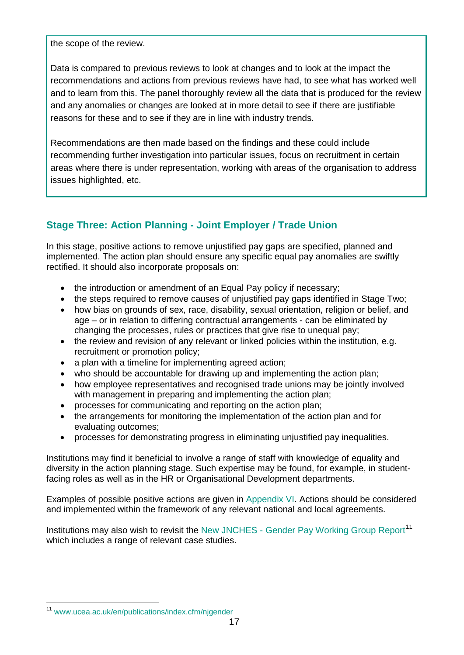the scope of the review.

Data is compared to previous reviews to look at changes and to look at the impact the recommendations and actions from previous reviews have had, to see what has worked well and to learn from this. The panel thoroughly review all the data that is produced for the review and any anomalies or changes are looked at in more detail to see if there are justifiable reasons for these and to see if they are in line with industry trends.

Recommendations are then made based on the findings and these could include recommending further investigation into particular issues, focus on recruitment in certain areas where there is under representation, working with areas of the organisation to address issues highlighted, etc.

## **Stage Three: Action Planning - Joint Employer / Trade Union**

In this stage, positive actions to remove unjustified pay gaps are specified, planned and implemented. The action plan should ensure any specific equal pay anomalies are swiftly rectified. It should also incorporate proposals on:

- the introduction or amendment of an Equal Pay policy if necessary;
- the steps required to remove causes of unjustified pay gaps identified in Stage Two;
- how bias on grounds of sex, race, disability, sexual orientation, religion or belief, and age – or in relation to differing contractual arrangements - can be eliminated by changing the processes, rules or practices that give rise to unequal pay;
- the review and revision of any relevant or linked policies within the institution, e.g. recruitment or promotion policy;
- a plan with a timeline for implementing agreed action;
- who should be accountable for drawing up and implementing the action plan;
- how employee representatives and recognised trade unions may be jointly involved with management in preparing and implementing the action plan;
- processes for communicating and reporting on the action plan;
- the arrangements for monitoring the implementation of the action plan and for evaluating outcomes;
- processes for demonstrating progress in eliminating unjustified pay inequalities.

Institutions may find it beneficial to involve a range of staff with knowledge of equality and diversity in the action planning stage. Such expertise may be found, for example, in studentfacing roles as well as in the HR or Organisational Development departments.

Examples of possible positive actions are given in [Appendix VI.](#page-41-0) Actions should be considered and implemented within the framework of any relevant national and local agreements.

Institutions may also wish to revisit the New JNCHES - [Gender Pay Working Group Report](http://www.ucea.ac.uk/en/publications/index.cfm/njgender)<sup>[11](#page-18-0)</sup> which includes a range of relevant case studies.

<span id="page-18-0"></span> <sup>11</sup> [www.ucea.ac.uk/en/publications/index.cfm/njgender](http://www.ucea.ac.uk/en/publications/index.cfm/njgender)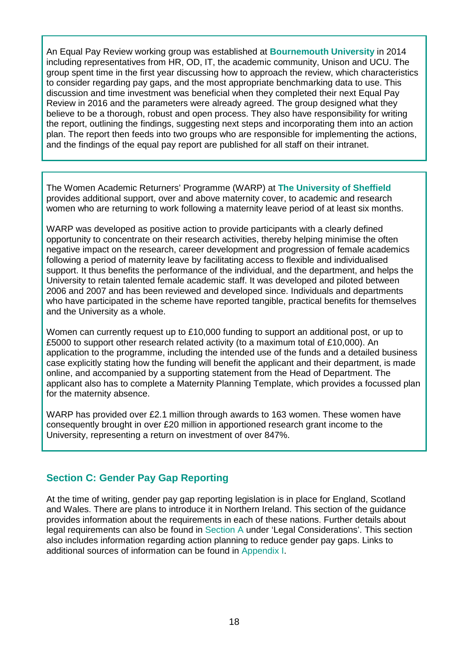An Equal Pay Review working group was established at **Bournemouth University** in 2014 including representatives from HR, OD, IT, the academic community, Unison and UCU. The group spent time in the first year discussing how to approach the review, which characteristics to consider regarding pay gaps, and the most appropriate benchmarking data to use. This discussion and time investment was beneficial when they completed their next Equal Pay Review in 2016 and the parameters were already agreed. The group designed what they believe to be a thorough, robust and open process. They also have responsibility for writing the report, outlining the findings, suggesting next steps and incorporating them into an action plan. The report then feeds into two groups who are responsible for implementing the actions, and the findings of the equal pay report are published for all staff on their intranet.

The Women Academic Returners' Programme (WARP) at **The University of Sheffield** provides additional support, over and above maternity cover, to academic and research women who are returning to work following a maternity leave period of at least six months.

WARP was developed as positive action to provide participants with a clearly defined opportunity to concentrate on their research activities, thereby helping minimise the often negative impact on the research, career development and progression of female academics following a period of maternity leave by facilitating access to flexible and individualised support. It thus benefits the performance of the individual, and the department, and helps the University to retain talented female academic staff. It was developed and piloted between 2006 and 2007 and has been reviewed and developed since. Individuals and departments who have participated in the scheme have reported tangible, practical benefits for themselves and the University as a whole.

Women can currently request up to £10,000 funding to support an additional post, or up to £5000 to support other research related activity (to a maximum total of £10,000). An application to the programme, including the intended use of the funds and a detailed business case explicitly stating how the funding will benefit the applicant and their department, is made online, and accompanied by a supporting statement from the Head of Department. The applicant also has to complete a Maternity Planning Template, which provides a focussed plan for the maternity absence.

WARP has provided over £2.1 million through awards to 163 women. These women have consequently brought in over £20 million in apportioned research grant income to the University, representing a return on investment of over 847%.

## <span id="page-19-0"></span>**Section C: Gender Pay Gap Reporting**

At the time of writing, gender pay gap reporting legislation is in place for England, Scotland and Wales. There are plans to introduce it in Northern Ireland. This section of the guidance provides information about the requirements in each of these nations. Further details about legal requirements can also be found in [Section A](#page-4-0) under 'Legal Considerations'. This section also includes information regarding action planning to reduce gender pay gaps. Links to additional sources of information can be found in [Appendix I.](#page-26-0)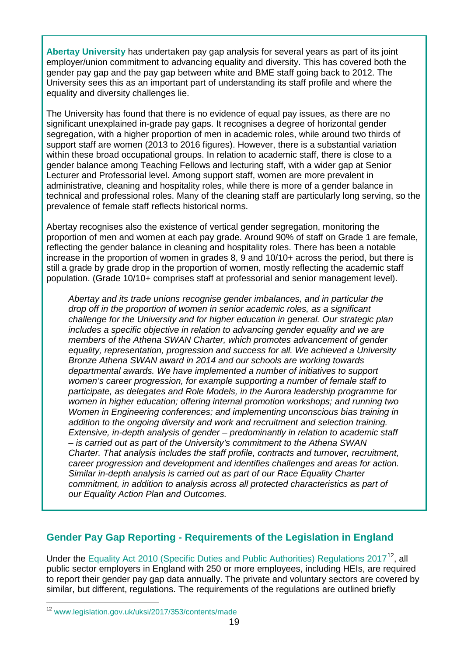**Abertay University** has undertaken pay gap analysis for several years as part of its joint employer/union commitment to advancing equality and diversity. This has covered both the gender pay gap and the pay gap between white and BME staff going back to 2012. The University sees this as an important part of understanding its staff profile and where the equality and diversity challenges lie.

The University has found that there is no evidence of equal pay issues, as there are no significant unexplained in-grade pay gaps. It recognises a degree of horizontal gender segregation, with a higher proportion of men in academic roles, while around two thirds of support staff are women (2013 to 2016 figures). However, there is a substantial variation within these broad occupational groups. In relation to academic staff, there is close to a gender balance among Teaching Fellows and lecturing staff, with a wider gap at Senior Lecturer and Professorial level. Among support staff, women are more prevalent in administrative, cleaning and hospitality roles, while there is more of a gender balance in technical and professional roles. Many of the cleaning staff are particularly long serving, so the prevalence of female staff reflects historical norms.

Abertay recognises also the existence of vertical gender segregation, monitoring the proportion of men and women at each pay grade. Around 90% of staff on Grade 1 are female, reflecting the gender balance in cleaning and hospitality roles. There has been a notable increase in the proportion of women in grades 8, 9 and 10/10+ across the period, but there is still a grade by grade drop in the proportion of women, mostly reflecting the academic staff population. (Grade 10/10+ comprises staff at professorial and senior management level).

*Abertay and its trade unions recognise gender imbalances, and in particular the drop off in the proportion of women in senior academic roles, as a significant challenge for the University and for higher education in general. Our strategic plan includes a specific objective in relation to advancing gender equality and we are members of the Athena SWAN Charter, which promotes advancement of gender equality, representation, progression and success for all. We achieved a University Bronze Athena SWAN award in 2014 and our schools are working towards departmental awards. We have implemented a number of initiatives to support women's career progression, for example supporting a number of female staff to participate, as delegates and Role Models, in the Aurora leadership programme for women in higher education; offering internal promotion workshops; and running two Women in Engineering conferences; and implementing unconscious bias training in addition to the ongoing diversity and work and recruitment and selection training. Extensive, in-depth analysis of gender – predominantly in relation to academic staff – is carried out as part of the University's commitment to the Athena SWAN Charter. That analysis includes the staff profile, contracts and turnover, recruitment, career progression and development and identifies challenges and areas for action. Similar in-depth analysis is carried out as part of our Race Equality Charter commitment, in addition to analysis across all protected characteristics as part of our Equality Action Plan and Outcomes.*

#### **Gender Pay Gap Reporting - Requirements of the Legislation in England**

Under the [Equality Act 2010 \(Specific Duties and Public Authorities\) Regulations 2017](http://www.legislation.gov.uk/uksi/2017/353/contents/made)<sup>12</sup>, all public sector employers in England with 250 or more employees, including HEIs, are required to report their gender pay gap data annually. The private and voluntary sectors are covered by similar, but different, regulations. The requirements of the regulations are outlined briefly

<span id="page-20-0"></span> <sup>12</sup> [www.legislation.gov.uk/uksi/2017/353/contents/made](http://www.legislation.gov.uk/uksi/2017/353/contents/made)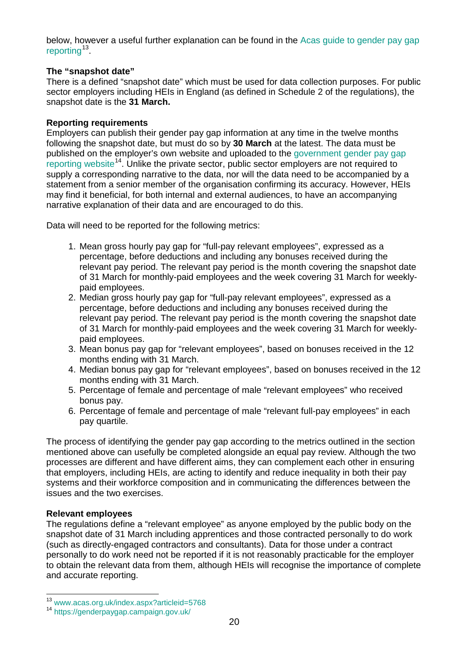below, however a useful further explanation can be found in the Acas [guide to gender pay gap](http://www.acas.org.uk/genderpay)  [reporting](http://www.acas.org.uk/genderpay)<sup>13</sup>.

#### **The "snapshot date"**

There is a defined "snapshot date" which must be used for data collection purposes. For public sector employers including HEIs in England (as defined in Schedule 2 of the regulations), the snapshot date is the **31 March.**

#### **Reporting requirements**

Employers can publish their gender pay gap information at any time in the twelve months following the snapshot date, but must do so by **30 March** at the latest. The data must be published on the employer's own website and uploaded to the [government gender pay gap](https://genderpaygap.campaign.gov.uk/)  [reporting website](https://genderpaygap.campaign.gov.uk/)<sup>[14](#page-21-1)</sup>. Unlike the private sector, public sector employers are not required to supply a corresponding narrative to the data, nor will the data need to be accompanied by a statement from a senior member of the organisation confirming its accuracy. However, HEIs may find it beneficial, for both internal and external audiences, to have an accompanying narrative explanation of their data and are encouraged to do this.

Data will need to be reported for the following metrics:

- 1. Mean gross hourly pay gap for "full-pay relevant employees", expressed as a percentage, before deductions and including any bonuses received during the relevant pay period. The relevant pay period is the month covering the snapshot date of 31 March for monthly-paid employees and the week covering 31 March for weeklypaid employees.
- 2. Median gross hourly pay gap for "full-pay relevant employees", expressed as a percentage, before deductions and including any bonuses received during the relevant pay period. The relevant pay period is the month covering the snapshot date of 31 March for monthly-paid employees and the week covering 31 March for weeklypaid employees.
- 3. Mean bonus pay gap for "relevant employees", based on bonuses received in the 12 months ending with 31 March.
- 4. Median bonus pay gap for "relevant employees", based on bonuses received in the 12 months ending with 31 March.
- 5. Percentage of female and percentage of male "relevant employees" who received bonus pay.
- 6. Percentage of female and percentage of male "relevant full-pay employees" in each pay quartile.

The process of identifying the gender pay gap according to the metrics outlined in the section mentioned above can usefully be completed alongside an equal pay review. Although the two processes are different and have different aims, they can complement each other in ensuring that employers, including HEIs, are acting to identify and reduce inequality in both their pay systems and their workforce composition and in communicating the differences between the issues and the two exercises.

#### **Relevant employees**

The regulations define a "relevant employee" as anyone employed by the public body on the snapshot date of 31 March including apprentices and those contracted personally to do work (such as directly-engaged contractors and consultants). Data for those under a contract personally to do work need not be reported if it is not reasonably practicable for the employer to obtain the relevant data from them, although HEIs will recognise the importance of complete and accurate reporting.

<span id="page-21-1"></span><span id="page-21-0"></span><sup>13</sup> [www.acas.org.uk/index.aspx?articleid=5768](http://www.acas.org.uk/index.aspx?articleid=5768) <sup>14</sup> <https://genderpaygap.campaign.gov.uk/>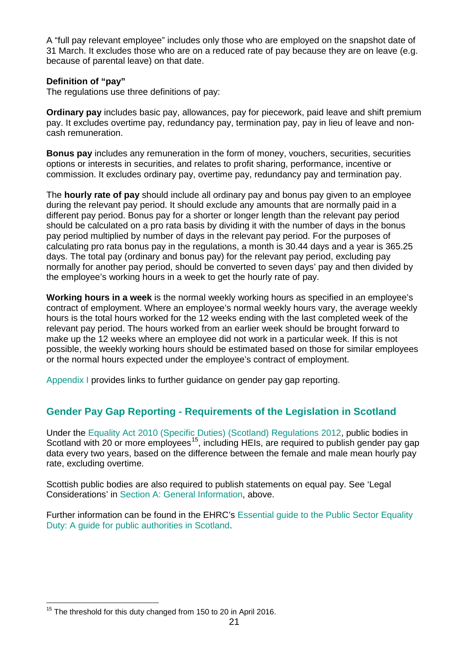A "full pay relevant employee" includes only those who are employed on the snapshot date of 31 March. It excludes those who are on a reduced rate of pay because they are on leave (e.g. because of parental leave) on that date.

#### **Definition of "pay"**

The regulations use three definitions of pay:

**Ordinary pay** includes basic pay, allowances, pay for piecework, paid leave and shift premium pay. It excludes overtime pay, redundancy pay, termination pay, pay in lieu of leave and noncash remuneration.

**Bonus pay** includes any remuneration in the form of money, vouchers, securities, securities options or interests in securities, and relates to profit sharing, performance, incentive or commission. It excludes ordinary pay, overtime pay, redundancy pay and termination pay.

The **hourly rate of pay** should include all ordinary pay and bonus pay given to an employee during the relevant pay period. It should exclude any amounts that are normally paid in a different pay period. Bonus pay for a shorter or longer length than the relevant pay period should be calculated on a pro rata basis by dividing it with the number of days in the bonus pay period multiplied by number of days in the relevant pay period. For the purposes of calculating pro rata bonus pay in the regulations, a month is 30.44 days and a year is 365.25 days. The total pay (ordinary and bonus pay) for the relevant pay period, excluding pay normally for another pay period, should be converted to seven days' pay and then divided by the employee's working hours in a week to get the hourly rate of pay.

**Working hours in a week** is the normal weekly working hours as specified in an employee's contract of employment. Where an employee's normal weekly hours vary, the average weekly hours is the total hours worked for the 12 weeks ending with the last completed week of the relevant pay period. The hours worked from an earlier week should be brought forward to make up the 12 weeks where an employee did not work in a particular week. If this is not possible, the weekly working hours should be estimated based on those for similar employees or the normal hours expected under the employee's contract of employment.

[Appendix I](#page-26-0) provides links to further guidance on gender pay gap reporting.

## **Gender Pay Gap Reporting - Requirements of the Legislation in Scotland**

Under the [Equality Act 2010 \(Specific Duties\) \(Scotland\) Regulations 2012,](https://www.legislation.gov.uk/sdsi/2012/9780111016718/contents) public bodies in Scotland with 20 or more employees<sup>15</sup>, including HEIs, are required to publish gender pay gap data every two years, based on the difference between the female and male mean hourly pay rate, excluding overtime.

Scottish public bodies are also required to publish statements on equal pay. See 'Legal Considerations' in [Section A: General Information,](#page-4-0) above.

Further information can be found in the EHRC's [Essential guide to the Public Sector Equality](https://www.equalityhumanrights.com/en/publication-download/essential-guide-public-sector-equality-duty-guide-public-authorities-scotland)  [Duty: A guide for public authorities in Scotland.](https://www.equalityhumanrights.com/en/publication-download/essential-guide-public-sector-equality-duty-guide-public-authorities-scotland)

<span id="page-22-0"></span><sup>&</sup>lt;sup>15</sup> The threshold for this duty changed from 150 to 20 in April 2016.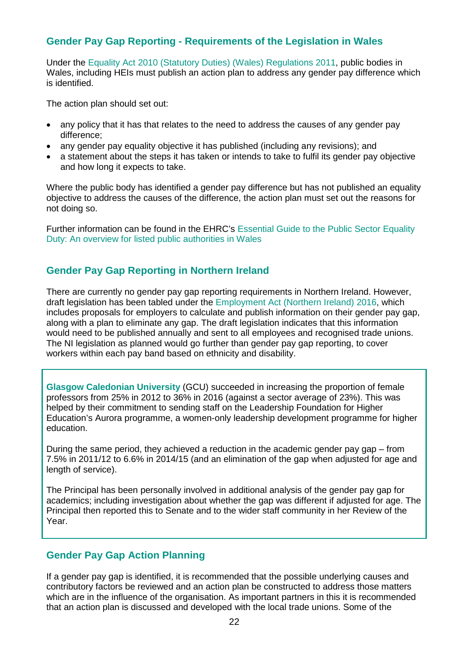## **Gender Pay Gap Reporting - Requirements of the Legislation in Wales**

Under the [Equality Act 2010 \(Statutory Duties\) \(Wales\) Regulations 2011,](http://www.legislation.gov.uk/wsi/2011/1064/contents/made) public bodies in Wales, including HEIs must publish an action plan to address any gender pay difference which is identified.

The action plan should set out:

- any policy that it has that relates to the need to address the causes of any gender pay difference;
- any gender pay equality objective it has published (including any revisions); and
- a statement about the steps it has taken or intends to take to fulfil its gender pay objective and how long it expects to take.

Where the public body has identified a gender pay difference but has not published an equality objective to address the causes of the difference, the action plan must set out the reasons for not doing so.

Further information can be found in the EHRC's [Essential Guide to the Public Sector Equality](https://www.equalityhumanrights.com/en/publication-download/essential-guide-public-sector-equality-duty-overview-listed-public-authorities)  [Duty: An overview for listed public authorities in Wales](https://www.equalityhumanrights.com/en/publication-download/essential-guide-public-sector-equality-duty-overview-listed-public-authorities)

#### **Gender Pay Gap Reporting in Northern Ireland**

There are currently no gender pay gap reporting requirements in Northern Ireland. However, draft legislation has been tabled under the [Employment Act \(Northern Ireland\) 2016,](http://www.legislation.gov.uk/nia/2016/15/contents/enacted) which includes proposals for employers to calculate and publish information on their gender pay gap, along with a plan to eliminate any gap. The draft legislation indicates that this information would need to be published annually and sent to all employees and recognised trade unions. The NI legislation as planned would go further than gender pay gap reporting, to cover workers within each pay band based on ethnicity and disability.

**Glasgow Caledonian University** (GCU) succeeded in increasing the proportion of female professors from 25% in 2012 to 36% in 2016 (against a sector average of 23%). This was helped by their commitment to sending staff on the Leadership Foundation for Higher Education's Aurora programme, a women-only leadership development programme for higher education.

During the same period, they achieved a reduction in the academic gender pay gap – from 7.5% in 2011/12 to 6.6% in 2014/15 (and an elimination of the gap when adjusted for age and length of service).

The Principal has been personally involved in additional analysis of the gender pay gap for academics; including investigation about whether the gap was different if adjusted for age. The Principal then reported this to Senate and to the wider staff community in her Review of the Year.

#### **Gender Pay Gap Action Planning**

If a gender pay gap is identified, it is recommended that the possible underlying causes and contributory factors be reviewed and an action plan be constructed to address those matters which are in the influence of the organisation. As important partners in this it is recommended that an action plan is discussed and developed with the local trade unions. Some of the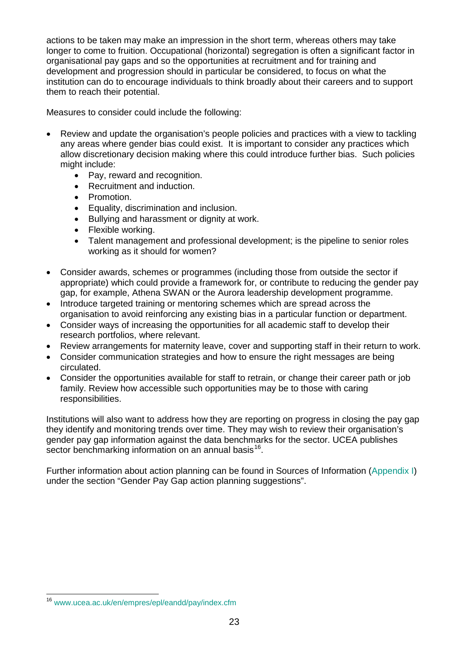actions to be taken may make an impression in the short term, whereas others may take longer to come to fruition. Occupational (horizontal) segregation is often a significant factor in organisational pay gaps and so the opportunities at recruitment and for training and development and progression should in particular be considered, to focus on what the institution can do to encourage individuals to think broadly about their careers and to support them to reach their potential.

Measures to consider could include the following:

- Review and update the organisation's people policies and practices with a view to tackling any areas where gender bias could exist. It is important to consider any practices which allow discretionary decision making where this could introduce further bias. Such policies might include:
	- Pay, reward and recognition.
	- Recruitment and induction.
	- Promotion.
	- Equality, discrimination and inclusion.
	- Bullying and harassment or dignity at work.
	- Flexible working.
	- Talent management and professional development; is the pipeline to senior roles working as it should for women?
- Consider awards, schemes or programmes (including those from outside the sector if appropriate) which could provide a framework for, or contribute to reducing the gender pay gap, for example, Athena SWAN or the Aurora leadership development programme.
- Introduce targeted training or mentoring schemes which are spread across the organisation to avoid reinforcing any existing bias in a particular function or department.
- Consider ways of increasing the opportunities for all academic staff to develop their research portfolios, where relevant.
- Review arrangements for maternity leave, cover and supporting staff in their return to work.
- Consider communication strategies and how to ensure the right messages are being circulated.
- Consider the opportunities available for staff to retrain, or change their career path or job family. Review how accessible such opportunities may be to those with caring responsibilities.

Institutions will also want to address how they are reporting on progress in closing the pay gap they identify and monitoring trends over time. They may wish to review their organisation's gender pay gap information against the data benchmarks for the sector. UCEA publishes sector benchmarking information on an annual basis<sup>16</sup>.

Further information about action planning can be found in Sources of Information [\(Appendix I\)](#page-26-0) under the section "Gender Pay Gap action planning suggestions".

<span id="page-24-0"></span> <sup>16</sup> [www.ucea.ac.uk/en/empres/epl/eandd/pay/index.cfm](http://www.ucea.ac.uk/en/empres/epl/eandd/pay/index.cfm)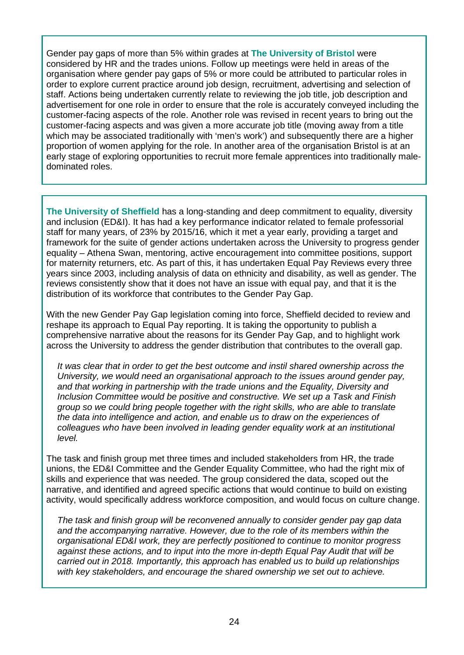Gender pay gaps of more than 5% within grades at **The University of Bristol** were considered by HR and the trades unions. Follow up meetings were held in areas of the organisation where gender pay gaps of 5% or more could be attributed to particular roles in order to explore current practice around job design, recruitment, advertising and selection of staff. Actions being undertaken currently relate to reviewing the job title, job description and advertisement for one role in order to ensure that the role is accurately conveyed including the customer-facing aspects of the role. Another role was revised in recent years to bring out the customer-facing aspects and was given a more accurate job title (moving away from a title which may be associated traditionally with 'men's work') and subsequently there are a higher proportion of women applying for the role. In another area of the organisation Bristol is at an early stage of exploring opportunities to recruit more female apprentices into traditionally maledominated roles.

**The University of Sheffield** has a long-standing and deep commitment to equality, diversity and inclusion (ED&I). It has had a key performance indicator related to female professorial staff for many years, of 23% by 2015/16, which it met a year early, providing a target and framework for the suite of gender actions undertaken across the University to progress gender equality – Athena Swan, mentoring, active encouragement into committee positions, support for maternity returners, etc. As part of this, it has undertaken Equal Pay Reviews every three years since 2003, including analysis of data on ethnicity and disability, as well as gender. The reviews consistently show that it does not have an issue with equal pay, and that it is the distribution of its workforce that contributes to the Gender Pay Gap.

With the new Gender Pay Gap legislation coming into force, Sheffield decided to review and reshape its approach to Equal Pay reporting. It is taking the opportunity to publish a comprehensive narrative about the reasons for its Gender Pay Gap, and to highlight work across the University to address the gender distribution that contributes to the overall gap.

*It was clear that in order to get the best outcome and instil shared ownership across the University, we would need an organisational approach to the issues around gender pay, and that working in partnership with the trade unions and the Equality, Diversity and Inclusion Committee would be positive and constructive. We set up a Task and Finish group so we could bring people together with the right skills, who are able to translate the data into intelligence and action, and enable us to draw on the experiences of colleagues who have been involved in leading gender equality work at an institutional level.*

The task and finish group met three times and included stakeholders from HR, the trade unions, the ED&I Committee and the Gender Equality Committee, who had the right mix of skills and experience that was needed. The group considered the data, scoped out the narrative, and identified and agreed specific actions that would continue to build on existing activity, would specifically address workforce composition, and would focus on culture change.

*The task and finish group will be reconvened annually to consider gender pay gap data and the accompanying narrative. However, due to the role of its members within the organisational ED&I work, they are perfectly positioned to continue to monitor progress against these actions, and to input into the more in-depth Equal Pay Audit that will be carried out in 2018. Importantly, this approach has enabled us to build up relationships with key stakeholders, and encourage the shared ownership we set out to achieve.*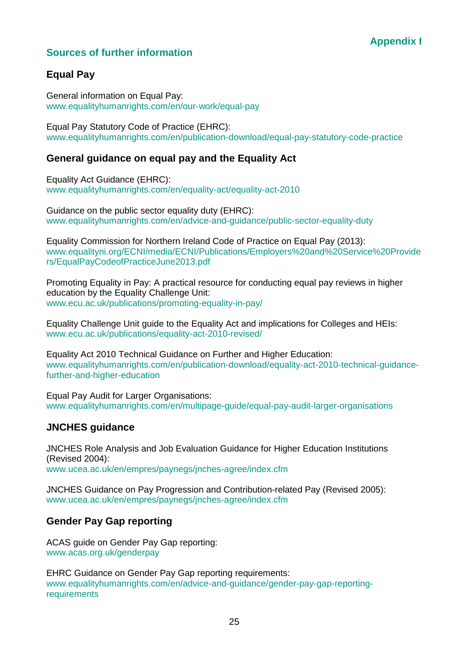## <span id="page-26-0"></span>**Sources of further information**

### **Equal Pay**

General information on Equal Pay: [www.equalityhumanrights.com/en/our-work/equal-pay](https://www.equalityhumanrights.com/en/our-work/equal-pay)

Equal Pay Statutory Code of Practice (EHRC): [www.equalityhumanrights.com/en/publication-download/equal-pay-statutory-code-practice](https://www.equalityhumanrights.com/en/publication-download/equal-pay-statutory-code-practice)

#### **General guidance on equal pay and the Equality Act**

Equality Act Guidance (EHRC): [www.equalityhumanrights.com/en/equality-act/equality-act-2010](https://www.equalityhumanrights.com/en/equality-act/equality-act-2010)

Guidance on the public sector equality duty (EHRC): [www.equalityhumanrights.com/en/advice-and-guidance/public-sector-equality-duty](https://www.equalityhumanrights.com/en/advice-and-guidance/public-sector-equality-duty)

Equality Commission for Northern Ireland Code of Practice on Equal Pay (2013): [www.equalityni.org/ECNI/media/ECNI/Publications/Employers%20and%20Service%20Provide](http://www.equalityni.org/ECNI/media/ECNI/Publications/Employers%20and%20Service%20Providers/EqualPayCodeofPracticeJune2013.pdf) [rs/EqualPayCodeofPracticeJune2013.pdf](http://www.equalityni.org/ECNI/media/ECNI/Publications/Employers%20and%20Service%20Providers/EqualPayCodeofPracticeJune2013.pdf)

Promoting Equality in Pay: A practical resource for conducting equal pay reviews in higher education by the Equality Challenge Unit: [www.ecu.ac.uk/publications/promoting-equality-in-pay/](http://www.ecu.ac.uk/publications/promoting-equality-in-pay/)

Equality Challenge Unit guide to the Equality Act and implications for Colleges and HEIs: [www.ecu.ac.uk/publications/equality-act-2010-revised/](http://www.ecu.ac.uk/publications/equality-act-2010-revised/)

Equality Act 2010 Technical Guidance on Further and Higher Education: [www.equalityhumanrights.com/en/publication-download/equality-act-2010-technical-guidance](http://www.equalityhumanrights.com/en/publication-download/equality-act-2010-technical-guidance-further-and-higher-education)[further-and-higher-education](http://www.equalityhumanrights.com/en/publication-download/equality-act-2010-technical-guidance-further-and-higher-education)

Equal Pay Audit for Larger Organisations: [www.equalityhumanrights.com/en/multipage-guide/equal-pay-audit-larger-organisations](https://www.equalityhumanrights.com/en/multipage-guide/equal-pay-audit-larger-organisations)

#### **JNCHES guidance**

JNCHES Role Analysis and Job Evaluation Guidance for Higher Education Institutions (Revised 2004): [www.ucea.ac.uk/en/empres/paynegs/jnches-agree/index.cfm](http://www.ucea.ac.uk/en/empres/paynegs/jnches-agree/index.cfm)

JNCHES Guidance on Pay Progression and Contribution-related Pay (Revised 2005): [www.ucea.ac.uk/en/empres/paynegs/jnches-agree/index.cfm](http://www.ucea.ac.uk/en/empres/paynegs/jnches-agree/index.cfm)

#### **Gender Pay Gap reporting**

ACAS guide on Gender Pay Gap reporting: [www.acas.org.uk/genderpay](http://www.acas.org.uk/genderpay)

EHRC Guidance on Gender Pay Gap reporting requirements: [www.equalityhumanrights.com/en/advice-and-guidance/gender-pay-gap-reporting](https://www.equalityhumanrights.com/en/advice-and-guidance/gender-pay-gap-reporting-requirements)[requirements](https://www.equalityhumanrights.com/en/advice-and-guidance/gender-pay-gap-reporting-requirements)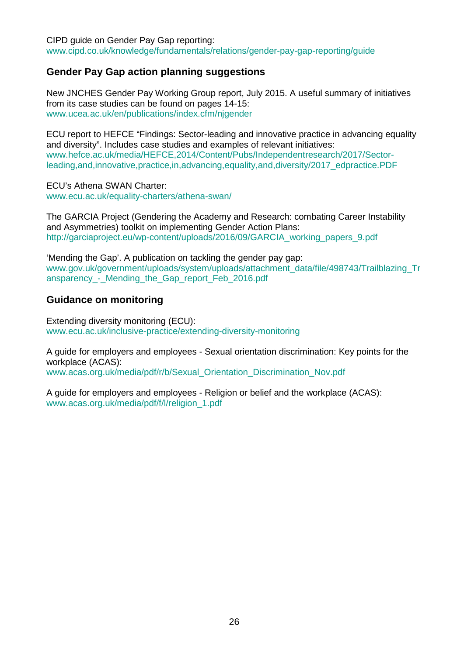CIPD guide on Gender Pay Gap reporting: [www.cipd.co.uk/knowledge/fundamentals/relations/gender-pay-gap-reporting/guide](https://www.cipd.co.uk/knowledge/fundamentals/relations/gender-pay-gap-reporting/guide)

#### **Gender Pay Gap action planning suggestions**

New JNCHES Gender Pay Working Group report, July 2015. A useful summary of initiatives from its case studies can be found on pages 14-15: [www.ucea.ac.uk/en/publications/index.cfm/njgender](http://www.ucea.ac.uk/en/publications/index.cfm/njgender)

ECU report to HEFCE "Findings: Sector-leading and innovative practice in advancing equality and diversity". Includes case studies and examples of relevant initiatives: [www.hefce.ac.uk/media/HEFCE,2014/Content/Pubs/Independentresearch/2017/Sector](http://www.hefce.ac.uk/media/HEFCE,2014/Content/Pubs/Independentresearch/2017/Sector-leading,and,innovative,practice,in,advancing,equality,and,diversity/2017_edpractice.PDF)[leading,and,innovative,practice,in,advancing,equality,and,diversity/2017\\_edpractice.PDF](http://www.hefce.ac.uk/media/HEFCE,2014/Content/Pubs/Independentresearch/2017/Sector-leading,and,innovative,practice,in,advancing,equality,and,diversity/2017_edpractice.PDF)

ECU's Athena SWAN Charter: [www.ecu.ac.uk/equality-charters/athena-swan/](http://www.ecu.ac.uk/equality-charters/athena-swan/)

The GARCIA Project (Gendering the Academy and Research: combating Career Instability and Asymmetries) toolkit on implementing Gender Action Plans: [http://garciaproject.eu/wp-content/uploads/2016/09/GARCIA\\_working\\_papers\\_9.pdf](http://garciaproject.eu/wp-content/uploads/2016/09/GARCIA_working_papers_9.pdf)

'Mending the Gap'. A publication on tackling the gender pay gap: [www.gov.uk/government/uploads/system/uploads/attachment\\_data/file/498743/Trailblazing\\_Tr](https://www.gov.uk/government/uploads/system/uploads/attachment_data/file/498743/Trailblazing_Transparency_-_Mending_the_Gap_report_Feb_2016.pdf) ansparency - Mending the Gap report Feb 2016.pdf

#### **Guidance on monitoring**

Extending diversity monitoring (ECU): [www.ecu.ac.uk/inclusive-practice/extending-diversity-monitoring](http://www.ecu.ac.uk/inclusive-practice/extending-diversity-monitoring)

A guide for employers and employees - Sexual orientation discrimination: Key points for the workplace (ACAS):

[www.acas.org.uk/media/pdf/r/b/Sexual\\_Orientation\\_Discrimination\\_Nov.pdf](http://www.acas.org.uk/media/pdf/r/b/Sexual_Orientation_Discrimination_Nov.pdf)

A guide for employers and employees - Religion or belief and the workplace (ACAS): [www.acas.org.uk/media/pdf/f/l/religion\\_1.pdf](http://www.acas.org.uk/media/pdf/f/l/religion_1.pdf)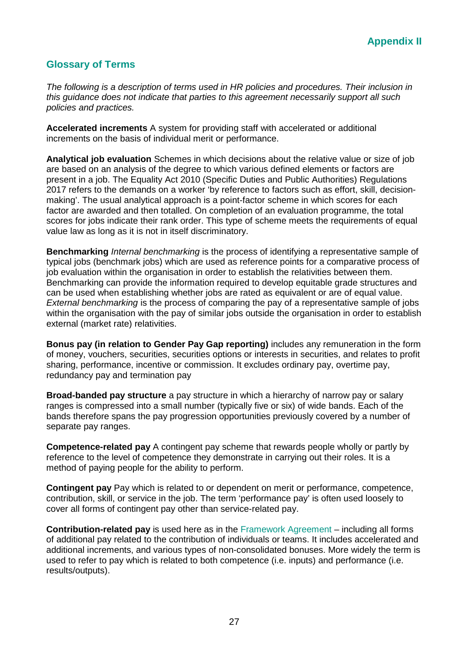## <span id="page-28-0"></span>**Glossary of Terms**

*The following is a description of terms used in HR policies and procedures. Their inclusion in this guidance does not indicate that parties to this agreement necessarily support all such policies and practices.* 

**Accelerated increments** A system for providing staff with accelerated or additional increments on the basis of individual merit or performance.

**Analytical job evaluation** Schemes in which decisions about the relative value or size of job are based on an analysis of the degree to which various defined elements or factors are present in a job. The Equality Act 2010 (Specific Duties and Public Authorities) Regulations 2017 refers to the demands on a worker 'by reference to factors such as effort, skill, decisionmaking'. The usual analytical approach is a point-factor scheme in which scores for each factor are awarded and then totalled. On completion of an evaluation programme, the total scores for jobs indicate their rank order. This type of scheme meets the requirements of equal value law as long as it is not in itself discriminatory.

**Benchmarking** *Internal benchmarking* is the process of identifying a representative sample of typical jobs (benchmark jobs) which are used as reference points for a comparative process of job evaluation within the organisation in order to establish the relativities between them. Benchmarking can provide the information required to develop equitable grade structures and can be used when establishing whether jobs are rated as equivalent or are of equal value. *External benchmarking* is the process of comparing the pay of a representative sample of jobs within the organisation with the pay of similar jobs outside the organisation in order to establish external (market rate) relativities.

**Bonus pay (in relation to Gender Pay Gap reporting)** includes any remuneration in the form of money, vouchers, securities, securities options or interests in securities, and relates to profit sharing, performance, incentive or commission. It excludes ordinary pay, overtime pay, redundancy pay and termination pay

**Broad-banded pay structure** a pay structure in which a hierarchy of narrow pay or salary ranges is compressed into a small number (typically five or six) of wide bands. Each of the bands therefore spans the pay progression opportunities previously covered by a number of separate pay ranges.

**Competence-related pay** A contingent pay scheme that rewards people wholly or partly by reference to the level of competence they demonstrate in carrying out their roles. It is a method of paying people for the ability to perform.

**Contingent pay** Pay which is related to or dependent on merit or performance, competence, contribution, skill, or service in the job. The term 'performance pay' is often used loosely to cover all forms of contingent pay other than service-related pay.

**Contribution-related pay** is used here as in the [Framework Agreement](http://www.ucea.ac.uk/en/empres/paynegs/fagree/index.cfm) – including all forms of additional pay related to the contribution of individuals or teams. It includes accelerated and additional increments, and various types of non-consolidated bonuses. More widely the term is used to refer to pay which is related to both competence (i.e. inputs) and performance (i.e. results/outputs).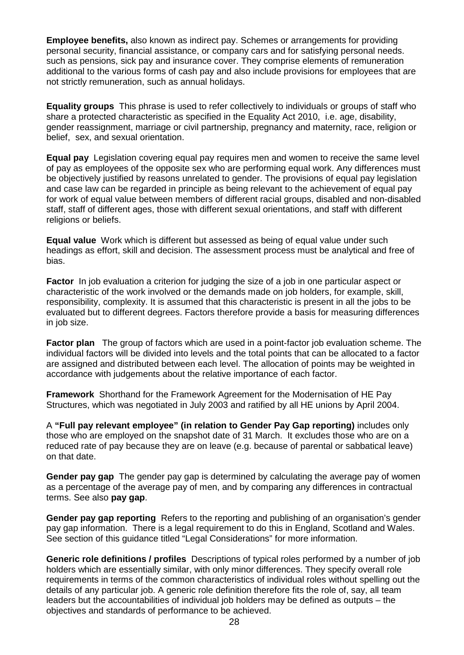**Employee benefits,** also known as indirect pay. Schemes or arrangements for providing personal security, financial assistance, or company cars and for satisfying personal needs. such as pensions, sick pay and insurance cover. They comprise elements of remuneration additional to the various forms of cash pay and also include provisions for employees that are not strictly remuneration, such as annual holidays.

**Equality groups** This phrase is used to refer collectively to individuals or groups of staff who share a protected characteristic as specified in the Equality Act 2010, i.e. age, disability, gender reassignment, marriage or civil partnership, pregnancy and maternity, race, religion or belief, sex, and sexual orientation.

**Equal pay** Legislation covering equal pay requires men and women to receive the same level of pay as employees of the opposite sex who are performing equal work. Any differences must be objectively justified by reasons unrelated to gender. The provisions of equal pay legislation and case law can be regarded in principle as being relevant to the achievement of equal pay for work of equal value between members of different racial groups, disabled and non-disabled staff, staff of different ages, those with different sexual orientations, and staff with different religions or beliefs.

**Equal value** Work which is different but assessed as being of equal value under such headings as effort, skill and decision. The assessment process must be analytical and free of bias.

**Factor** In job evaluation a criterion for judging the size of a job in one particular aspect or characteristic of the work involved or the demands made on job holders, for example, skill, responsibility, complexity. It is assumed that this characteristic is present in all the jobs to be evaluated but to different degrees. Factors therefore provide a basis for measuring differences in job size.

**Factor plan** The group of factors which are used in a point-factor job evaluation scheme. The individual factors will be divided into levels and the total points that can be allocated to a factor are assigned and distributed between each level. The allocation of points may be weighted in accordance with judgements about the relative importance of each factor.

**Framework** Shorthand for the Framework Agreement for the Modernisation of HE Pay Structures, which was negotiated in July 2003 and ratified by all HE unions by April 2004.

A **"Full pay relevant employee" (in relation to Gender Pay Gap reporting)** includes only those who are employed on the snapshot date of 31 March. It excludes those who are on a reduced rate of pay because they are on leave (e.g. because of parental or sabbatical leave) on that date.

**Gender pay gap** The gender pay gap is determined by calculating the average pay of women as a percentage of the average pay of men, and by comparing any differences in contractual terms. See also **pay gap**.

**Gender pay gap reporting** Refers to the reporting and publishing of an organisation's gender pay gap information. There is a legal requirement to do this in England, Scotland and Wales. See section of this guidance titled "Legal Considerations" for more information.

**Generic role definitions / profiles** Descriptions of typical roles performed by a number of job holders which are essentially similar, with only minor differences. They specify overall role requirements in terms of the common characteristics of individual roles without spelling out the details of any particular job. A generic role definition therefore fits the role of, say, all team leaders but the accountabilities of individual job holders may be defined as outputs – the objectives and standards of performance to be achieved.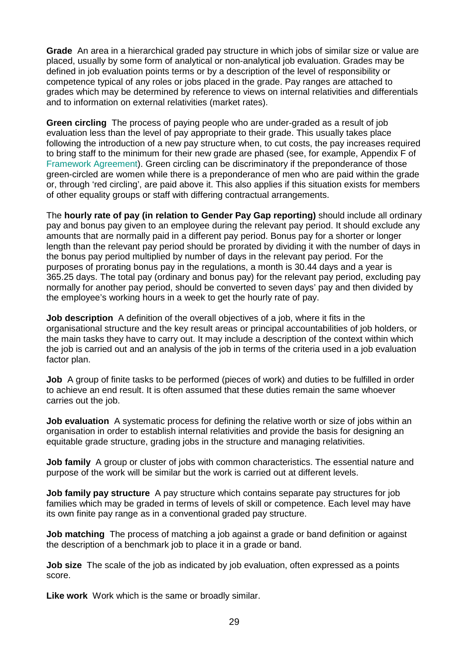**Grade** An area in a hierarchical graded pay structure in which jobs of similar size or value are placed, usually by some form of analytical or non-analytical job evaluation. Grades may be defined in job evaluation points terms or by a description of the level of responsibility or competence typical of any roles or jobs placed in the grade. Pay ranges are attached to grades which may be determined by reference to views on internal relativities and differentials and to information on external relativities (market rates).

**Green circling** The process of paying people who are under-graded as a result of job evaluation less than the level of pay appropriate to their grade. This usually takes place following the introduction of a new pay structure when, to cut costs, the pay increases required to bring staff to the minimum for their new grade are phased (see, for example, Appendix F of [Framework Agreement\)](http://www.ucea.ac.uk/en/empres/paynegs/fagree/index.cfm). Green circling can be discriminatory if the preponderance of those green-circled are women while there is a preponderance of men who are paid within the grade or, through 'red circling', are paid above it. This also applies if this situation exists for members of other equality groups or staff with differing contractual arrangements.

The **hourly rate of pay (in relation to Gender Pay Gap reporting)** should include all ordinary pay and bonus pay given to an employee during the relevant pay period. It should exclude any amounts that are normally paid in a different pay period. Bonus pay for a shorter or longer length than the relevant pay period should be prorated by dividing it with the number of days in the bonus pay period multiplied by number of days in the relevant pay period. For the purposes of prorating bonus pay in the regulations, a month is 30.44 days and a year is 365.25 days. The total pay (ordinary and bonus pay) for the relevant pay period, excluding pay normally for another pay period, should be converted to seven days' pay and then divided by the employee's working hours in a week to get the hourly rate of pay.

**Job description** A definition of the overall objectives of a job, where it fits in the organisational structure and the key result areas or principal accountabilities of job holders, or the main tasks they have to carry out. It may include a description of the context within which the job is carried out and an analysis of the job in terms of the criteria used in a job evaluation factor plan.

**Job** A group of finite tasks to be performed (pieces of work) and duties to be fulfilled in order to achieve an end result. It is often assumed that these duties remain the same whoever carries out the job.

**Job evaluation** A systematic process for defining the relative worth or size of jobs within an organisation in order to establish internal relativities and provide the basis for designing an equitable grade structure, grading jobs in the structure and managing relativities.

**Job family** A group or cluster of jobs with common characteristics. The essential nature and purpose of the work will be similar but the work is carried out at different levels.

**Job family pay structure** A pay structure which contains separate pay structures for job families which may be graded in terms of levels of skill or competence. Each level may have its own finite pay range as in a conventional graded pay structure.

**Job matching** The process of matching a job against a grade or band definition or against the description of a benchmark job to place it in a grade or band.

**Job size** The scale of the job as indicated by job evaluation, often expressed as a points score.

**Like work** Work which is the same or broadly similar.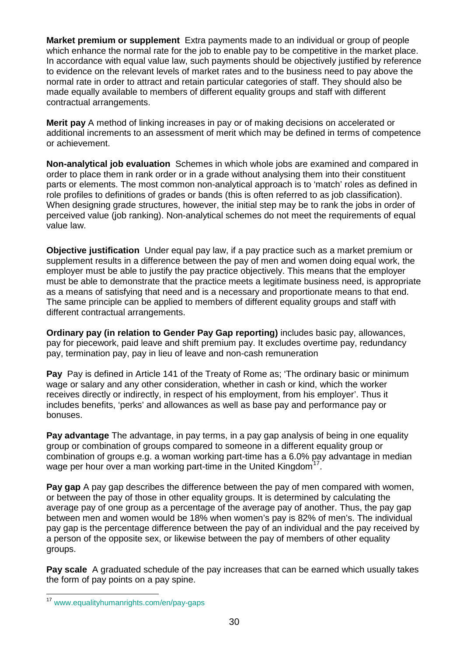**Market premium or supplement** Extra payments made to an individual or group of people which enhance the normal rate for the job to enable pay to be competitive in the market place. In accordance with equal value law, such payments should be objectively justified by reference to evidence on the relevant levels of market rates and to the business need to pay above the normal rate in order to attract and retain particular categories of staff. They should also be made equally available to members of different equality groups and staff with different contractual arrangements.

**Merit pay** A method of linking increases in pay or of making decisions on accelerated or additional increments to an assessment of merit which may be defined in terms of competence or achievement.

**Non-analytical job evaluation** Schemes in which whole jobs are examined and compared in order to place them in rank order or in a grade without analysing them into their constituent parts or elements. The most common non-analytical approach is to 'match' roles as defined in role profiles to definitions of grades or bands (this is often referred to as job classification). When designing grade structures, however, the initial step may be to rank the jobs in order of perceived value (job ranking). Non-analytical schemes do not meet the requirements of equal value law.

**Objective justification** Under equal pay law, if a pay practice such as a market premium or supplement results in a difference between the pay of men and women doing equal work, the employer must be able to justify the pay practice objectively. This means that the employer must be able to demonstrate that the practice meets a legitimate business need, is appropriate as a means of satisfying that need and is a necessary and proportionate means to that end. The same principle can be applied to members of different equality groups and staff with different contractual arrangements.

**Ordinary pay (in relation to Gender Pay Gap reporting)** includes basic pay, allowances, pay for piecework, paid leave and shift premium pay. It excludes overtime pay, redundancy pay, termination pay, pay in lieu of leave and non-cash remuneration

**Pay** Pay is defined in Article 141 of the Treaty of Rome as; 'The ordinary basic or minimum wage or salary and any other consideration, whether in cash or kind, which the worker receives directly or indirectly, in respect of his employment, from his employer'. Thus it includes benefits, 'perks' and allowances as well as base pay and performance pay or bonuses.

**Pay advantage** The advantage, in pay terms, in a pay gap analysis of being in one equality group or combination of groups compared to someone in a different equality group or combination of groups e.g. a woman working part-time has a 6.0% pay advantage in median wage per hour over a man working part-time in the United Kingdom<sup>[17](#page-31-0)</sup>.

**Pay gap** A pay gap describes the difference between the pay of men compared with women, or between the pay of those in other equality groups. It is determined by calculating the average pay of one group as a percentage of the average pay of another. Thus, the pay gap between men and women would be 18% when women's pay is 82% of men's. The individual pay gap is the percentage difference between the pay of an individual and the pay received by a person of the opposite sex, or likewise between the pay of members of other equality groups.

**Pay scale** A graduated schedule of the pay increases that can be earned which usually takes the form of pay points on a pay spine.

<span id="page-31-0"></span> <sup>17</sup> [www.equalityhumanrights.com/en/pay-gaps](http://www.equalityhumanrights.com/en/pay-gaps)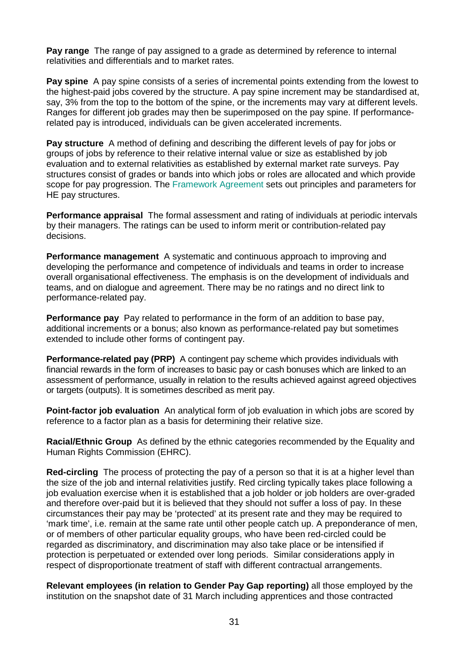**Pay range** The range of pay assigned to a grade as determined by reference to internal relativities and differentials and to market rates.

**Pay spine** A pay spine consists of a series of incremental points extending from the lowest to the highest-paid jobs covered by the structure. A pay spine increment may be standardised at, say, 3% from the top to the bottom of the spine, or the increments may vary at different levels. Ranges for different job grades may then be superimposed on the pay spine. If performancerelated pay is introduced, individuals can be given accelerated increments.

**Pay structure** A method of defining and describing the different levels of pay for jobs or groups of jobs by reference to their relative internal value or size as established by job evaluation and to external relativities as established by external market rate surveys. Pay structures consist of grades or bands into which jobs or roles are allocated and which provide scope for pay progression. The [Framework Agreement](http://www.ucea.ac.uk/en/empres/paynegs/fagree/index.cfm) sets out principles and parameters for HE pay structures.

**Performance appraisal** The formal assessment and rating of individuals at periodic intervals by their managers. The ratings can be used to inform merit or contribution-related pay decisions.

**Performance management** A systematic and continuous approach to improving and developing the performance and competence of individuals and teams in order to increase overall organisational effectiveness. The emphasis is on the development of individuals and teams, and on dialogue and agreement. There may be no ratings and no direct link to performance-related pay.

**Performance pay** Pay related to performance in the form of an addition to base pay, additional increments or a bonus; also known as performance-related pay but sometimes extended to include other forms of contingent pay.

**Performance-related pay (PRP)** A contingent pay scheme which provides individuals with financial rewards in the form of increases to basic pay or cash bonuses which are linked to an assessment of performance, usually in relation to the results achieved against agreed objectives or targets (outputs). It is sometimes described as merit pay.

**Point-factor job evaluation** An analytical form of job evaluation in which jobs are scored by reference to a factor plan as a basis for determining their relative size.

**Racial/Ethnic Group** As defined by the ethnic categories recommended by the Equality and Human Rights Commission (EHRC).

**Red-circling** The process of protecting the pay of a person so that it is at a higher level than the size of the job and internal relativities justify. Red circling typically takes place following a job evaluation exercise when it is established that a job holder or job holders are over-graded and therefore over-paid but it is believed that they should not suffer a loss of pay. In these circumstances their pay may be 'protected' at its present rate and they may be required to 'mark time', i.e. remain at the same rate until other people catch up. A preponderance of men, or of members of other particular equality groups, who have been red-circled could be regarded as discriminatory, and discrimination may also take place or be intensified if protection is perpetuated or extended over long periods. Similar considerations apply in respect of disproportionate treatment of staff with different contractual arrangements.

**Relevant employees (in relation to Gender Pay Gap reporting)** all those employed by the institution on the snapshot date of 31 March including apprentices and those contracted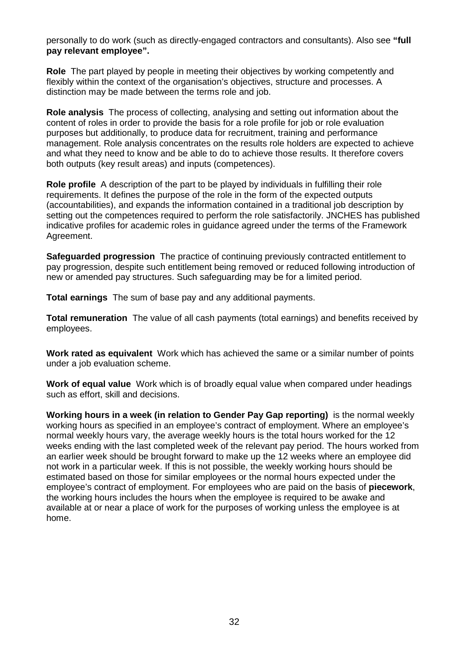personally to do work (such as directly-engaged contractors and consultants). Also see **"full pay relevant employee".**

**Role** The part played by people in meeting their objectives by working competently and flexibly within the context of the organisation's objectives, structure and processes. A distinction may be made between the terms role and job.

**Role analysis** The process of collecting, analysing and setting out information about the content of roles in order to provide the basis for a role profile for job or role evaluation purposes but additionally, to produce data for recruitment, training and performance management. Role analysis concentrates on the results role holders are expected to achieve and what they need to know and be able to do to achieve those results. It therefore covers both outputs (key result areas) and inputs (competences).

**Role profile** A description of the part to be played by individuals in fulfilling their role requirements. It defines the purpose of the role in the form of the expected outputs (accountabilities), and expands the information contained in a traditional job description by setting out the competences required to perform the role satisfactorily. JNCHES has published indicative profiles for academic roles in guidance agreed under the terms of the Framework Agreement.

**Safeguarded progression** The practice of continuing previously contracted entitlement to pay progression, despite such entitlement being removed or reduced following introduction of new or amended pay structures. Such safeguarding may be for a limited period.

**Total earnings** The sum of base pay and any additional payments.

**Total remuneration** The value of all cash payments (total earnings) and benefits received by employees.

**Work rated as equivalent** Work which has achieved the same or a similar number of points under a job evaluation scheme.

**Work of equal value** Work which is of broadly equal value when compared under headings such as effort, skill and decisions.

**Working hours in a week (in relation to Gender Pay Gap reporting)** is the normal weekly working hours as specified in an employee's contract of employment. Where an employee's normal weekly hours vary, the average weekly hours is the total hours worked for the 12 weeks ending with the last completed week of the relevant pay period. The hours worked from an earlier week should be brought forward to make up the 12 weeks where an employee did not work in a particular week. If this is not possible, the weekly working hours should be estimated based on those for similar employees or the normal hours expected under the employee's contract of employment. For employees who are paid on the basis of **piecework**, the working hours includes the hours when the employee is required to be awake and available at or near a place of work for the purposes of working unless the employee is at home.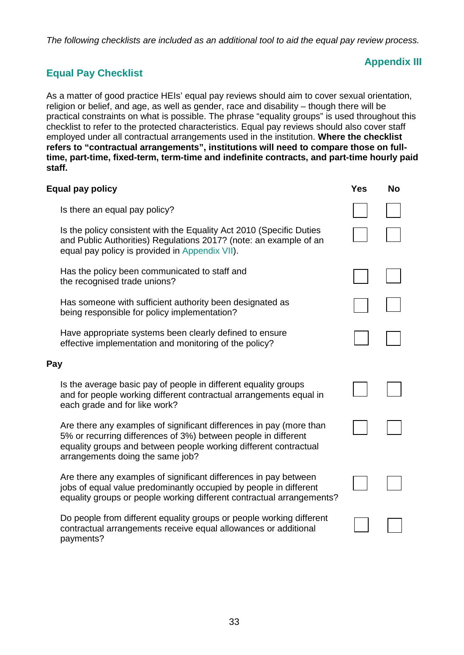*The following checklists are included as an additional tool to aid the equal pay review process.*

## **Appendix III**

## <span id="page-34-0"></span>**Equal Pay Checklist**

As a matter of good practice HEIs' equal pay reviews should aim to cover sexual orientation, religion or belief, and age, as well as gender, race and disability – though there will be practical constraints on what is possible. The phrase "equality groups" is used throughout this checklist to refer to the protected characteristics. Equal pay reviews should also cover staff employed under all contractual arrangements used in the institution. **Where the checklist refers to "contractual arrangements", institutions will need to compare those on fulltime, part-time, fixed-term, term-time and indefinite contracts, and part-time hourly paid staff.**

|     | <b>Equal pay policy</b>                                                                                                                                                                                                                       | <b>Yes</b> | <b>No</b> |
|-----|-----------------------------------------------------------------------------------------------------------------------------------------------------------------------------------------------------------------------------------------------|------------|-----------|
|     | Is there an equal pay policy?                                                                                                                                                                                                                 |            |           |
|     | Is the policy consistent with the Equality Act 2010 (Specific Duties<br>and Public Authorities) Regulations 2017? (note: an example of an<br>equal pay policy is provided in Appendix VII).                                                   |            |           |
|     | Has the policy been communicated to staff and<br>the recognised trade unions?                                                                                                                                                                 |            |           |
|     | Has someone with sufficient authority been designated as<br>being responsible for policy implementation?                                                                                                                                      |            |           |
|     | Have appropriate systems been clearly defined to ensure<br>effective implementation and monitoring of the policy?                                                                                                                             |            |           |
| Pay |                                                                                                                                                                                                                                               |            |           |
|     | Is the average basic pay of people in different equality groups<br>and for people working different contractual arrangements equal in<br>each grade and for like work?                                                                        |            |           |
|     | Are there any examples of significant differences in pay (more than<br>5% or recurring differences of 3%) between people in different<br>equality groups and between people working different contractual<br>arrangements doing the same job? |            |           |
|     | Are there any examples of significant differences in pay between<br>jobs of equal value predominantly occupied by people in different<br>equality groups or people working different contractual arrangements?                                |            |           |
|     | Do people from different equality groups or people working different<br>contractual arrangements receive equal allowances or additional<br>payments?                                                                                          |            |           |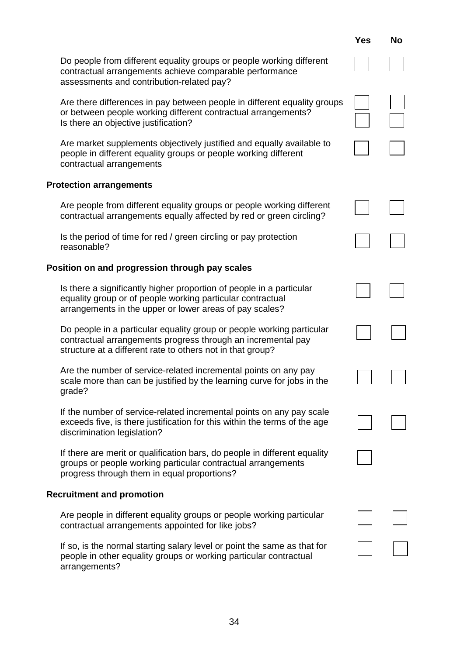|                                                                                                                                                                                                     | <b>Yes</b> | <b>No</b> |
|-----------------------------------------------------------------------------------------------------------------------------------------------------------------------------------------------------|------------|-----------|
| Do people from different equality groups or people working different<br>contractual arrangements achieve comparable performance<br>assessments and contribution-related pay?                        |            |           |
| Are there differences in pay between people in different equality groups<br>or between people working different contractual arrangements?<br>Is there an objective justification?                   |            |           |
| Are market supplements objectively justified and equally available to<br>people in different equality groups or people working different<br>contractual arrangements                                |            |           |
| <b>Protection arrangements</b>                                                                                                                                                                      |            |           |
| Are people from different equality groups or people working different<br>contractual arrangements equally affected by red or green circling?                                                        |            |           |
| Is the period of time for red / green circling or pay protection<br>reasonable?                                                                                                                     |            |           |
| Position on and progression through pay scales                                                                                                                                                      |            |           |
| Is there a significantly higher proportion of people in a particular<br>equality group or of people working particular contractual<br>arrangements in the upper or lower areas of pay scales?       |            |           |
| Do people in a particular equality group or people working particular<br>contractual arrangements progress through an incremental pay<br>structure at a different rate to others not in that group? |            |           |
| Are the number of service-related incremental points on any pay<br>scale more than can be justified by the learning curve for jobs in the<br>grade?                                                 |            |           |
| If the number of service-related incremental points on any pay scale<br>exceeds five, is there justification for this within the terms of the age<br>discrimination legislation?                    |            |           |
| If there are merit or qualification bars, do people in different equality<br>groups or people working particular contractual arrangements<br>progress through them in equal proportions?            |            |           |
| <b>Recruitment and promotion</b>                                                                                                                                                                    |            |           |
| Are people in different equality groups or people working particular<br>contractual arrangements appointed for like jobs?                                                                           |            |           |
| If so, is the normal starting salary level or point the same as that for<br>people in other equality groups or working particular contractual<br>arrangements?                                      |            |           |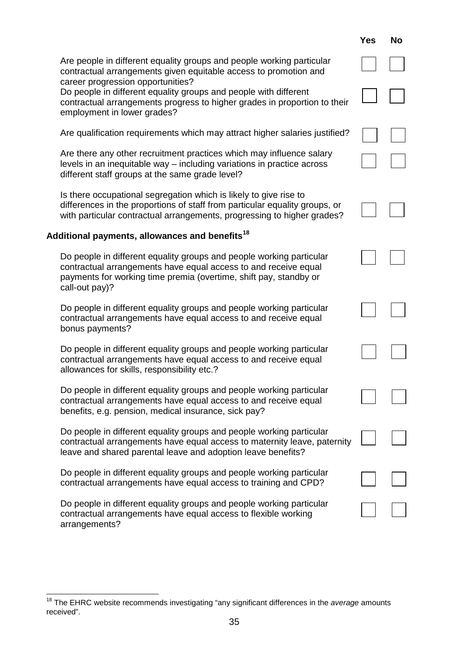|                                                                                                                                                                                                                                | Yes | <b>No</b> |
|--------------------------------------------------------------------------------------------------------------------------------------------------------------------------------------------------------------------------------|-----|-----------|
| Are people in different equality groups and people working particular<br>contractual arrangements given equitable access to promotion and<br>career progression opportunities?                                                 |     |           |
| Do people in different equality groups and people with different<br>contractual arrangements progress to higher grades in proportion to their<br>employment in lower grades?                                                   |     |           |
| Are qualification requirements which may attract higher salaries justified?                                                                                                                                                    |     |           |
| Are there any other recruitment practices which may influence salary<br>levels in an inequitable way - including variations in practice across<br>different staff groups at the same grade level?                              |     |           |
| Is there occupational segregation which is likely to give rise to<br>differences in the proportions of staff from particular equality groups, or<br>with particular contractual arrangements, progressing to higher grades?    |     |           |
| Additional payments, allowances and benefits $^{\rm 18}$                                                                                                                                                                       |     |           |
| Do people in different equality groups and people working particular<br>contractual arrangements have equal access to and receive equal<br>payments for working time premia (overtime, shift pay, standby or<br>call-out pay)? |     |           |
| Do people in different equality groups and people working particular<br>contractual arrangements have equal access to and receive equal<br>bonus payments?                                                                     |     |           |
| Do people in different equality groups and people working particular<br>contractual arrangements have equal access to and receive equal<br>allowances for skills, responsibility etc.?                                         |     |           |
| Do people in different equality groups and people working particular<br>contractual arrangements have equal access to and receive equal<br>benefits, e.g. pension, medical insurance, sick pay?                                |     |           |
| Do people in different equality groups and people working particular<br>contractual arrangements have equal access to maternity leave, paternity<br>leave and shared parental leave and adoption leave benefits?               |     |           |
| Do people in different equality groups and people working particular<br>contractual arrangements have equal access to training and CPD?                                                                                        |     |           |
| Do people in different equality groups and people working particular<br>contractual arrangements have equal access to flexible working<br>arrangements?                                                                        |     |           |

<span id="page-36-0"></span><sup>18</sup> The EHRC website recommends investigating "any significant differences in the *average* amounts received".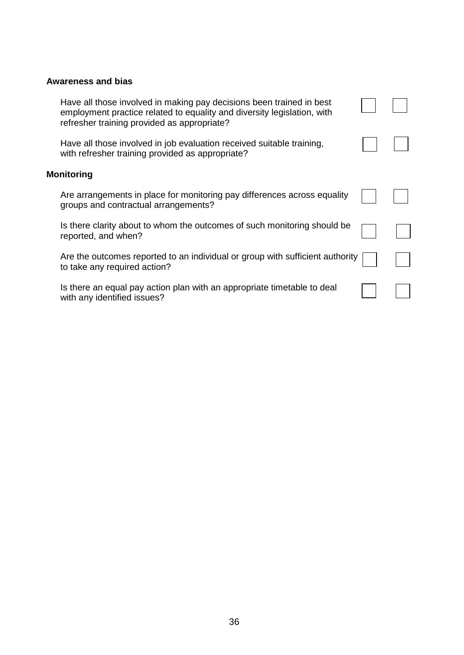#### **Awareness and bias**

| Have all those involved in making pay decisions been trained in best<br>employment practice related to equality and diversity legislation, with<br>refresher training provided as appropriate? |  |
|------------------------------------------------------------------------------------------------------------------------------------------------------------------------------------------------|--|
| Have all those involved in job evaluation received suitable training,<br>with refresher training provided as appropriate?                                                                      |  |
| <b>Monitoring</b>                                                                                                                                                                              |  |

Are arrangements in place for monitoring pay differences across equality groups and contractual arrangements?

Is there clarity about to whom the outcomes of such monitoring should be reported, and when?

Are the outcomes reported to an individual or group with sufficient authority to take any required action?

Is there an equal pay action plan with an appropriate timetable to deal with any identified issues?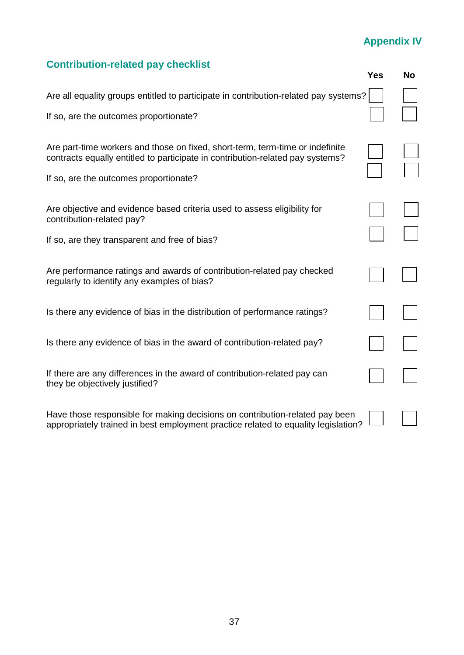## **Appendix IV**

## <span id="page-38-0"></span>**Contribution-related pay checklist**

|                                                                                                                                                                    | <b>Yes</b> | <b>No</b> |
|--------------------------------------------------------------------------------------------------------------------------------------------------------------------|------------|-----------|
| Are all equality groups entitled to participate in contribution-related pay systems?<br>If so, are the outcomes proportionate?                                     |            |           |
|                                                                                                                                                                    |            |           |
| Are part-time workers and those on fixed, short-term, term-time or indefinite<br>contracts equally entitled to participate in contribution-related pay systems?    |            |           |
| If so, are the outcomes proportionate?                                                                                                                             |            |           |
| Are objective and evidence based criteria used to assess eligibility for<br>contribution-related pay?                                                              |            |           |
| If so, are they transparent and free of bias?                                                                                                                      |            |           |
| Are performance ratings and awards of contribution-related pay checked<br>regularly to identify any examples of bias?                                              |            |           |
| Is there any evidence of bias in the distribution of performance ratings?                                                                                          |            |           |
| Is there any evidence of bias in the award of contribution-related pay?                                                                                            |            |           |
| If there are any differences in the award of contribution-related pay can<br>they be objectively justified?                                                        |            |           |
| Have those responsible for making decisions on contribution-related pay been<br>appropriately trained in best employment practice related to equality legislation? |            |           |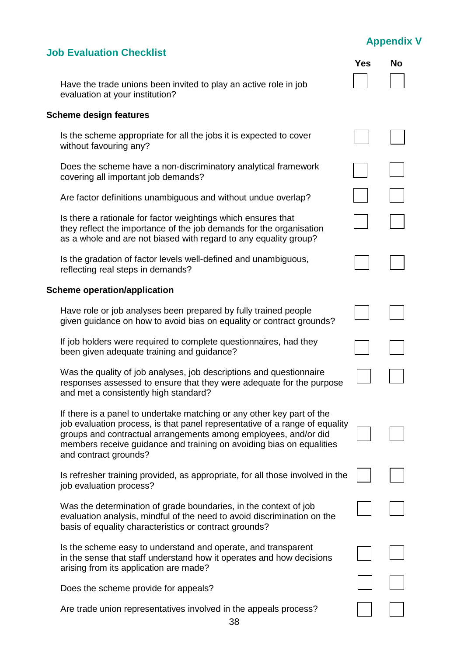## **Appendix V**

**Yes No**

<span id="page-39-0"></span>

| <b>Job Evaluation Checklist</b> |
|---------------------------------|
|---------------------------------|

| Have the trade unions been invited to play an active role in job |  |
|------------------------------------------------------------------|--|
| evaluation at your institution?                                  |  |

#### **Scheme design features**

| Is the scheme appropriate for all the jobs it is expected to cover |  |
|--------------------------------------------------------------------|--|
| without favouring any?                                             |  |

Does the scheme have a non-discriminatory analytical framework covering all important job demands?

Are factor definitions unambiguous and without undue overlap?

Is there a rationale for factor weightings which ensures that they reflect the importance of the job demands for the organisation as a whole and are not biased with regard to any equality group?

Is the gradation of factor levels well-defined and unambiguous, reflecting real steps in demands?

#### **Scheme operation/application**

|  |  | Have role or job analyses been prepared by fully trained people      |  |
|--|--|----------------------------------------------------------------------|--|
|  |  | given guidance on how to avoid bias on equality or contract grounds? |  |

If job holders were required to complete questionnaires, had they been given adequate training and guidance?

Was the quality of job analyses, job descriptions and questionnaire responses assessed to ensure that they were adequate for the purpose and met a consistently high standard?

If there is a panel to undertake matching or any other key part of the job evaluation process, is that panel representative of a range of equality groups and contractual arrangements among employees, and/or did members receive guidance and training on avoiding bias on equalities and contract grounds?

Is refresher training provided, as appropriate, for all those involved in the job evaluation process?

Was the determination of grade boundaries, in the context of job evaluation analysis, mindful of the need to avoid discrimination on the basis of equality characteristics or contract grounds?

Is the scheme easy to understand and operate, and transparent in the sense that staff understand how it operates and how decisions arising from its application are made?

Does the scheme provide for appeals?

Are trade union representatives involved in the appeals process?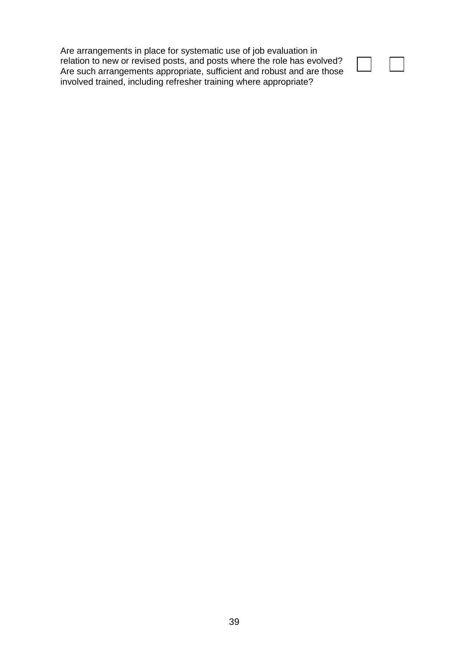Are arrangements in place for systematic use of job evaluation in relation to new or revised posts, and posts where the role has evolved? Are such arrangements appropriate, sufficient and robust and are those involved trained, including refresher training where appropriate?

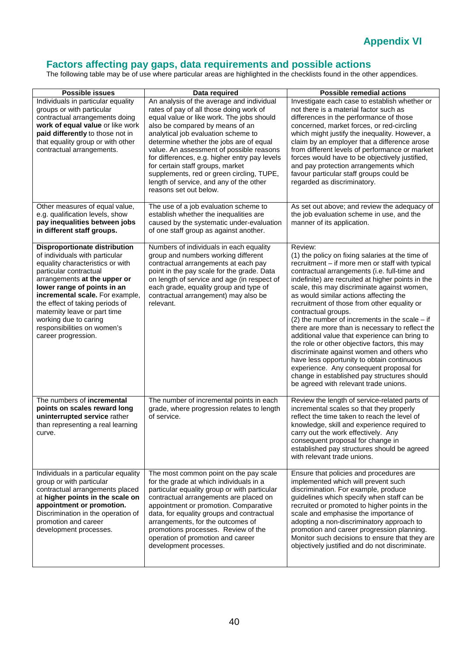## **Appendix VI**

### <span id="page-41-0"></span>**Factors affecting pay gaps, data requirements and possible actions**

The following table may be of use where particular areas are highlighted in the checklists found in the other appendices.

| <b>Possible issues</b>                                                                                                                                                                                                                                                                                                                                                                   | Data required                                                                                                                                                                                                                                                                                                                                                                                                                                                                                             | <b>Possible remedial actions</b>                                                                                                                                                                                                                                                                                                                                                                                                                                                                                                                                                                                                                                                                                                                                                                                          |
|------------------------------------------------------------------------------------------------------------------------------------------------------------------------------------------------------------------------------------------------------------------------------------------------------------------------------------------------------------------------------------------|-----------------------------------------------------------------------------------------------------------------------------------------------------------------------------------------------------------------------------------------------------------------------------------------------------------------------------------------------------------------------------------------------------------------------------------------------------------------------------------------------------------|---------------------------------------------------------------------------------------------------------------------------------------------------------------------------------------------------------------------------------------------------------------------------------------------------------------------------------------------------------------------------------------------------------------------------------------------------------------------------------------------------------------------------------------------------------------------------------------------------------------------------------------------------------------------------------------------------------------------------------------------------------------------------------------------------------------------------|
| Individuals in particular equality<br>groups or with particular<br>contractual arrangements doing<br>work of equal value or like work<br>paid differently to those not in<br>that equality group or with other<br>contractual arrangements.                                                                                                                                              | An analysis of the average and individual<br>rates of pay of all those doing work of<br>equal value or like work. The jobs should<br>also be compared by means of an<br>analytical job evaluation scheme to<br>determine whether the jobs are of equal<br>value. An assessment of possible reasons<br>for differences, e.g. higher entry pay levels<br>for certain staff groups, market<br>supplements, red or green circling, TUPE,<br>length of service, and any of the other<br>reasons set out below. | Investigate each case to establish whether or<br>not there is a material factor such as<br>differences in the performance of those<br>concerned, market forces, or red-circling<br>which might justify the inequality. However, a<br>claim by an employer that a difference arose<br>from different levels of performance or market<br>forces would have to be objectively justified,<br>and pay protection arrangements which<br>favour particular staff groups could be<br>regarded as discriminatory.                                                                                                                                                                                                                                                                                                                  |
| Other measures of equal value,<br>e.g. qualification levels, show<br>pay inequalities between jobs<br>in different staff groups.                                                                                                                                                                                                                                                         | The use of a job evaluation scheme to<br>establish whether the inequalities are<br>caused by the systematic under-evaluation<br>of one staff group as against another.                                                                                                                                                                                                                                                                                                                                    | As set out above; and review the adequacy of<br>the job evaluation scheme in use, and the<br>manner of its application.                                                                                                                                                                                                                                                                                                                                                                                                                                                                                                                                                                                                                                                                                                   |
| <b>Disproportionate distribution</b><br>of individuals with particular<br>equality characteristics or with<br>particular contractual<br>arrangements at the upper or<br>lower range of points in an<br>incremental scale. For example,<br>the effect of taking periods of<br>maternity leave or part time<br>working due to caring<br>responsibilities on women's<br>career progression. | Numbers of individuals in each equality<br>group and numbers working different<br>contractual arrangements at each pay<br>point in the pay scale for the grade. Data<br>on length of service and age (in respect of<br>each grade, equality group and type of<br>contractual arrangement) may also be<br>relevant.                                                                                                                                                                                        | Review:<br>(1) the policy on fixing salaries at the time of<br>recruitment - if more men or staff with typical<br>contractual arrangements (i.e. full-time and<br>indefinite) are recruited at higher points in the<br>scale, this may discriminate against women,<br>as would similar actions affecting the<br>recruitment of those from other equality or<br>contractual groups.<br>(2) the number of increments in the scale $-$ if<br>there are more than is necessary to reflect the<br>additional value that experience can bring to<br>the role or other objective factors, this may<br>discriminate against women and others who<br>have less opportunity to obtain continuous<br>experience. Any consequent proposal for<br>change in established pay structures should<br>be agreed with relevant trade unions. |
| The numbers of <b>incremental</b><br>points on scales reward long<br>uninterrupted service rather<br>than representing a real learning<br>curve.                                                                                                                                                                                                                                         | The number of incremental points in each<br>grade, where progression relates to length<br>of service.                                                                                                                                                                                                                                                                                                                                                                                                     | Review the length of service-related parts of<br>incremental scales so that they properly<br>reflect the time taken to reach the level of<br>knowledge, skill and experience required to<br>carry out the work effectively. Any<br>consequent proposal for change in<br>established pay structures should be agreed<br>with relevant trade unions.                                                                                                                                                                                                                                                                                                                                                                                                                                                                        |
| Individuals in a particular equality<br>group or with particular<br>contractual arrangements placed<br>at higher points in the scale on<br>appointment or promotion.<br>Discrimination in the operation of<br>promotion and career<br>development processes.                                                                                                                             | The most common point on the pay scale<br>for the grade at which individuals in a<br>particular equality group or with particular<br>contractual arrangements are placed on<br>appointment or promotion. Comparative<br>data, for equality groups and contractual<br>arrangements, for the outcomes of<br>promotions processes. Review of the<br>operation of promotion and career<br>development processes.                                                                                              | Ensure that policies and procedures are<br>implemented which will prevent such<br>discrimination. For example, produce<br>guidelines which specify when staff can be<br>recruited or promoted to higher points in the<br>scale and emphasise the importance of<br>adopting a non-discriminatory approach to<br>promotion and career progression planning.<br>Monitor such decisions to ensure that they are<br>objectively justified and do not discriminate.                                                                                                                                                                                                                                                                                                                                                             |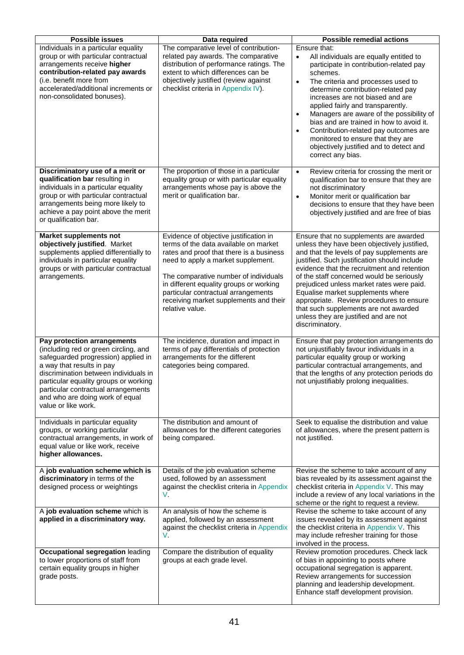| <b>Possible issues</b>                                                                                                                                                                                                                                                                                                      | Data required                                                                                                                                                                                                                                                                                                                                             | <b>Possible remedial actions</b>                                                                                                                                                                                                                                                                                                                                                                                                                                                                                                                 |
|-----------------------------------------------------------------------------------------------------------------------------------------------------------------------------------------------------------------------------------------------------------------------------------------------------------------------------|-----------------------------------------------------------------------------------------------------------------------------------------------------------------------------------------------------------------------------------------------------------------------------------------------------------------------------------------------------------|--------------------------------------------------------------------------------------------------------------------------------------------------------------------------------------------------------------------------------------------------------------------------------------------------------------------------------------------------------------------------------------------------------------------------------------------------------------------------------------------------------------------------------------------------|
| Individuals in a particular equality<br>group or with particular contractual<br>arrangements receive higher<br>contribution-related pay awards<br>(i.e. benefit more from<br>accelerated/additional increments or<br>non-consolidated bonuses).                                                                             | The comparative level of contribution-<br>related pay awards. The comparative<br>distribution of performance ratings. The<br>extent to which differences can be<br>objectively justified (review against<br>checklist criteria in Appendix IV).                                                                                                           | Ensure that:<br>All individuals are equally entitled to<br>participate in contribution-related pay<br>schemes.<br>The criteria and processes used to<br>$\bullet$<br>determine contribution-related pay<br>increases are not biased and are<br>applied fairly and transparently.<br>Managers are aware of the possibility of<br>$\bullet$<br>bias and are trained in how to avoid it.<br>Contribution-related pay outcomes are<br>$\bullet$<br>monitored to ensure that they are<br>objectively justified and to detect and<br>correct any bias. |
| Discriminatory use of a merit or<br>qualification bar resulting in<br>individuals in a particular equality<br>group or with particular contractual<br>arrangements being more likely to<br>achieve a pay point above the merit<br>or qualification bar.                                                                     | The proportion of those in a particular<br>equality group or with particular equality<br>arrangements whose pay is above the<br>merit or qualification bar.                                                                                                                                                                                               | Review criteria for crossing the merit or<br>$\bullet$<br>qualification bar to ensure that they are<br>not discriminatory<br>Monitor merit or qualification bar<br>$\bullet$<br>decisions to ensure that they have been<br>objectively justified and are free of bias                                                                                                                                                                                                                                                                            |
| <b>Market supplements not</b><br>objectively justified. Market<br>supplements applied differentially to<br>individuals in particular equality<br>groups or with particular contractual<br>arrangements.                                                                                                                     | Evidence of objective justification in<br>terms of the data available on market<br>rates and proof that there is a business<br>need to apply a market supplement.<br>The comparative number of individuals<br>in different equality groups or working<br>particular contractual arrangements<br>receiving market supplements and their<br>relative value. | Ensure that no supplements are awarded<br>unless they have been objectively justified,<br>and that the levels of pay supplements are<br>justified. Such justification should include<br>evidence that the recruitment and retention<br>of the staff concerned would be seriously<br>prejudiced unless market rates were paid.<br>Equalise market supplements where<br>appropriate. Review procedures to ensure<br>that such supplements are not awarded<br>unless they are justified and are not<br>discriminatory.                              |
| Pay protection arrangements<br>(including red or green circling, and<br>safeguarded progression) applied in<br>a way that results in pay<br>discrimination between individuals in<br>particular equality groups or working<br>particular contractual arrangements<br>and who are doing work of equal<br>value or like work. | The incidence, duration and impact in<br>terms of pay differentials of protection<br>arrangements for the different<br>categories being compared.                                                                                                                                                                                                         | Ensure that pay protection arrangements do<br>not unjustifiably favour individuals in a<br>particular equality group or working<br>particular contractual arrangements, and<br>that the lengths of any protection periods do<br>not unjustifiably prolong inequalities.                                                                                                                                                                                                                                                                          |
| Individuals in particular equality<br>groups, or working particular<br>contractual arrangements, in work of<br>equal value or like work, receive<br>higher allowances.                                                                                                                                                      | The distribution and amount of<br>allowances for the different categories<br>being compared.                                                                                                                                                                                                                                                              | Seek to equalise the distribution and value<br>of allowances, where the present pattern is<br>not justified.                                                                                                                                                                                                                                                                                                                                                                                                                                     |
| A job evaluation scheme which is<br>discriminatory in terms of the<br>designed process or weightings                                                                                                                                                                                                                        | Details of the job evaluation scheme<br>used, followed by an assessment<br>against the checklist criteria in Appendix<br>V.                                                                                                                                                                                                                               | Revise the scheme to take account of any<br>bias revealed by its assessment against the<br>checklist criteria in Appendix V. This may<br>include a review of any local variations in the<br>scheme or the right to request a review.                                                                                                                                                                                                                                                                                                             |
| A job evaluation scheme which is<br>applied in a discriminatory way.                                                                                                                                                                                                                                                        | An analysis of how the scheme is<br>applied, followed by an assessment<br>against the checklist criteria in Appendix<br>V.                                                                                                                                                                                                                                | Revise the scheme to take account of any<br>issues revealed by its assessment against<br>the checklist criteria in Appendix V. This<br>may include refresher training for those<br>involved in the process.                                                                                                                                                                                                                                                                                                                                      |
| Occupational segregation leading<br>to lower proportions of staff from<br>certain equality groups in higher<br>grade posts.                                                                                                                                                                                                 | Compare the distribution of equality<br>groups at each grade level.                                                                                                                                                                                                                                                                                       | Review promotion procedures. Check lack<br>of bias in appointing to posts where<br>occupational segregation is apparent.<br>Review arrangements for succession<br>planning and leadership development.<br>Enhance staff development provision.                                                                                                                                                                                                                                                                                                   |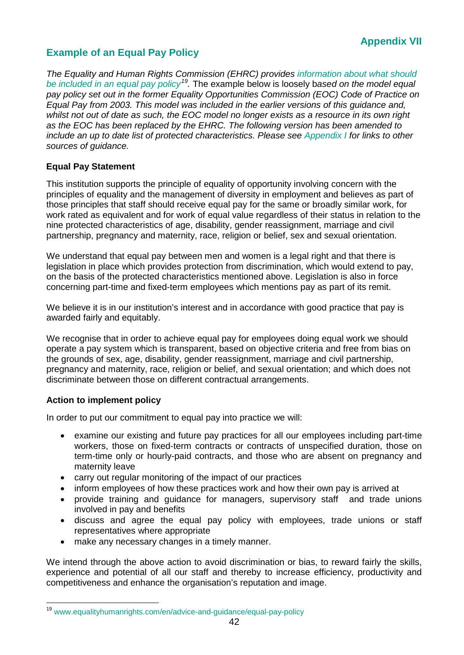## <span id="page-43-0"></span>**Example of an Equal Pay Policy**

*The Equality and Human Rights Commission (EHRC) provides [information about what should](https://www.equalityhumanrights.com/en/advice-and-guidance/equal-pay-policy)  [be included in an equal pay policy](https://www.equalityhumanrights.com/en/advice-and-guidance/equal-pay-policy)[19.](#page-43-1)* The example below is loosely b*ased on the model equal pay policy set out in the former Equality Opportunities Commission (EOC) Code of Practice on Equal Pay from 2003. This model was included in the earlier versions of this guidance and, whilst not out of date as such, the EOC model no longer exists as a resource in its own right as the EOC has been replaced by the EHRC. The following version has been amended to include an up to date list of protected characteristics. Please see [Appendix I](#page-26-0) for links to other sources of guidance.* 

#### **Equal Pay Statement**

This institution supports the principle of equality of opportunity involving concern with the principles of equality and the management of diversity in employment and believes as part of those principles that staff should receive equal pay for the same or broadly similar work, for work rated as equivalent and for work of equal value regardless of their status in relation to the nine protected characteristics of age, disability, gender reassignment, marriage and civil partnership, pregnancy and maternity, race, religion or belief, sex and sexual orientation.

We understand that equal pay between men and women is a legal right and that there is legislation in place which provides protection from discrimination, which would extend to pay, on the basis of the protected characteristics mentioned above. Legislation is also in force concerning part-time and fixed-term employees which mentions pay as part of its remit.

We believe it is in our institution's interest and in accordance with good practice that pay is awarded fairly and equitably.

We recognise that in order to achieve equal pay for employees doing equal work we should operate a pay system which is transparent, based on objective criteria and free from bias on the grounds of sex, age, disability, gender reassignment, marriage and civil partnership, pregnancy and maternity, race, religion or belief, and sexual orientation; and which does not discriminate between those on different contractual arrangements.

#### **Action to implement policy**

In order to put our commitment to equal pay into practice we will:

- examine our existing and future pay practices for all our employees including part-time workers, those on fixed-term contracts or contracts of unspecified duration, those on term-time only or hourly-paid contracts, and those who are absent on pregnancy and maternity leave
- carry out regular monitoring of the impact of our practices
- inform employees of how these practices work and how their own pay is arrived at
- provide training and guidance for managers, supervisory staff and trade unions involved in pay and benefits
- discuss and agree the equal pay policy with employees, trade unions or staff representatives where appropriate
- make any necessary changes in a timely manner.

We intend through the above action to avoid discrimination or bias, to reward fairly the skills, experience and potential of all our staff and thereby to increase efficiency, productivity and competitiveness and enhance the organisation's reputation and image.

<span id="page-43-1"></span> <sup>19</sup> [www.equalityhumanrights.com/en/advice-and-guidance/equal-pay-policy](http://www.equalityhumanrights.com/en/advice-and-guidance/equal-pay-policy)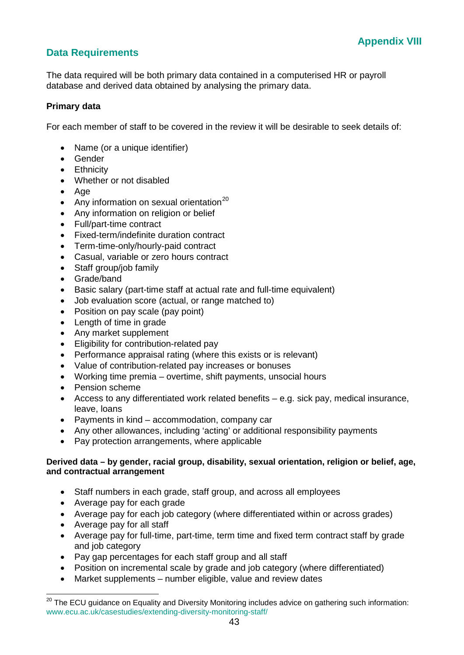## <span id="page-44-0"></span>**Data Requirements**

The data required will be both primary data contained in a computerised HR or payroll database and derived data obtained by analysing the primary data.

#### **Primary data**

For each member of staff to be covered in the review it will be desirable to seek details of:

- Name (or a unique identifier)
- Gender
- Ethnicity
- Whether or not disabled
- Age
- Any information on sexual orientation<sup>[20](#page-44-1)</sup>
- Any information on religion or belief
- Full/part-time contract
- Fixed-term/indefinite duration contract
- Term-time-only/hourly-paid contract
- Casual, variable or zero hours contract
- Staff group/job family
- Grade/band
- Basic salary (part-time staff at actual rate and full-time equivalent)
- Job evaluation score (actual, or range matched to)
- Position on pay scale (pay point)
- Length of time in grade
- Any market supplement
- Eligibility for contribution-related pay
- Performance appraisal rating (where this exists or is relevant)
- Value of contribution-related pay increases or bonuses
- Working time premia overtime, shift payments, unsocial hours
- Pension scheme
- Access to any differentiated work related benefits e.g. sick pay, medical insurance, leave, loans
- Payments in kind accommodation, company car
- Any other allowances, including 'acting' or additional responsibility payments
- Pay protection arrangements, where applicable

#### **Derived data – by gender, racial group, disability, sexual orientation, religion or belief, age, and contractual arrangement**

- Staff numbers in each grade, staff group, and across all employees
- Average pay for each grade
- Average pay for each job category (where differentiated within or across grades)
- Average pay for all staff
- Average pay for full-time, part-time, term time and fixed term contract staff by grade and job category
- Pay gap percentages for each staff group and all staff
- Position on incremental scale by grade and job category (where differentiated)
- Market supplements number eligible, value and review dates

<span id="page-44-1"></span> $20$  The ECU guidance on Equality and Diversity Monitoring includes advice on gathering such information: [www.ecu.ac.uk/casestudies/extending-diversity-monitoring-staff/](http://www.ecu.ac.uk/casestudies/extending-diversity-monitoring-staff/)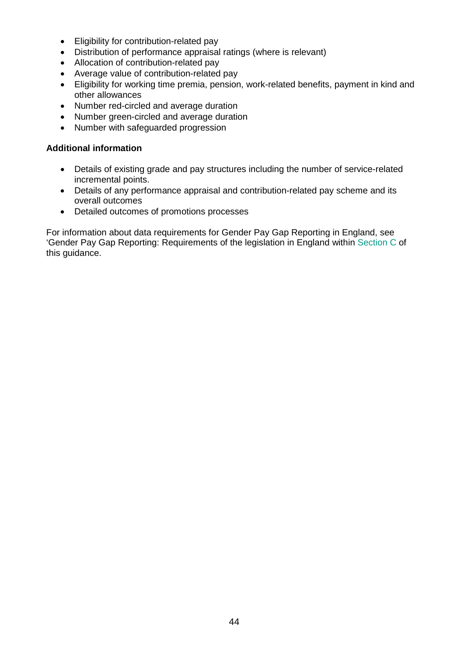- Eligibility for contribution-related pay
- Distribution of performance appraisal ratings (where is relevant)
- Allocation of contribution-related pay
- Average value of contribution-related pay
- Eligibility for working time premia, pension, work-related benefits, payment in kind and other allowances
- Number red-circled and average duration
- Number green-circled and average duration
- Number with safeguarded progression

#### **Additional information**

- Details of existing grade and pay structures including the number of service-related incremental points.
- Details of any performance appraisal and contribution-related pay scheme and its overall outcomes
- Detailed outcomes of promotions processes

For information about data requirements for Gender Pay Gap Reporting in England, see 'Gender Pay Gap Reporting: Requirements of the legislation in England within [Section C](#page-19-0) of this guidance.